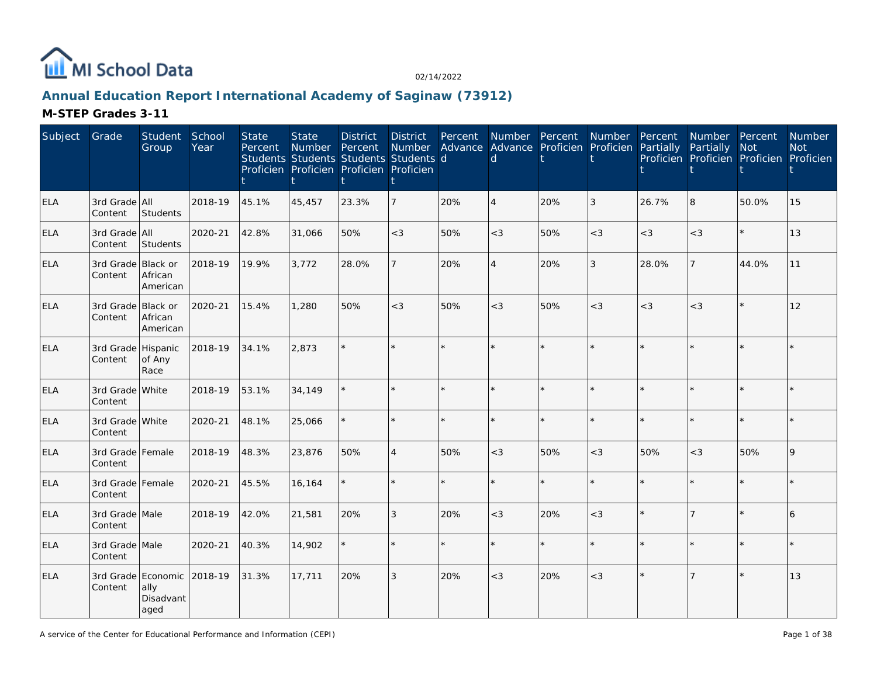

# **Annual Education Report International Academy of Saginaw (73912)**

| Subject    | Grade                         | Student<br>Group                                | School<br>Year | <b>State</b><br>Percent | <b>State</b><br><b>Number</b><br>Students Students Students Students d<br>Proficien Proficien Proficien Proficien | <b>District</b><br>Percent | <b>District</b><br>Number<br>Ť | Percent | d              | Number Percent<br>Advance Advance Proficien Proficien | Number         | Percent<br>Partially | Number Percent<br>Partially Not<br>Proficien Proficien Proficien Proficien |         | Number<br><b>Not</b> |
|------------|-------------------------------|-------------------------------------------------|----------------|-------------------------|-------------------------------------------------------------------------------------------------------------------|----------------------------|--------------------------------|---------|----------------|-------------------------------------------------------|----------------|----------------------|----------------------------------------------------------------------------|---------|----------------------|
| <b>ELA</b> | 3rd Grade All<br>Content      | Students                                        | 2018-19        | 45.1%                   | 45,457                                                                                                            | 23.3%                      | $\overline{7}$                 | 20%     | $\overline{A}$ | 20%                                                   | 3              | 26.7%                | 8                                                                          | 50.0%   | 15                   |
| <b>ELA</b> | 3rd Grade All<br>Content      | Students                                        | 2020-21        | 42.8%                   | 31,066                                                                                                            | 50%                        | $<$ 3                          | 50%     | $<$ 3          | 50%                                                   | $<$ 3          | $<$ 3                | $<\!3$                                                                     | $\star$ | 13                   |
| <b>ELA</b> | 3rd Grade Black or<br>Content | African<br>American                             | 2018-19        | 19.9%                   | 3,772                                                                                                             | 28.0%                      | $\overline{7}$                 | 20%     | $\overline{A}$ | 20%                                                   | $\mathfrak{Z}$ | 28.0%                | $\overline{7}$                                                             | 44.0%   | 11                   |
| <b>ELA</b> | 3rd Grade Black or<br>Content | African<br>American                             | 2020-21        | 15.4%                   | 1,280                                                                                                             | 50%                        | $<$ 3                          | 50%     | $<$ 3          | 50%                                                   | $<$ 3          | $<$ 3                | $<$ 3                                                                      | $\star$ | 12                   |
| <b>ELA</b> | 3rd Grade Hispanic<br>Content | of Any<br>Race                                  | 2018-19        | 34.1%                   | 2,873                                                                                                             |                            |                                |         |                |                                                       | ÷.             |                      |                                                                            | $\star$ |                      |
| <b>ELA</b> | 3rd Grade White<br>Content    |                                                 | 2018-19        | 53.1%                   | 34,149                                                                                                            |                            |                                |         |                |                                                       | $\star$        |                      |                                                                            | $\star$ |                      |
| <b>ELA</b> | 3rd Grade White<br>Content    |                                                 | 2020-21        | 48.1%                   | 25,066                                                                                                            |                            |                                | ÷.      | ÷              |                                                       | $\star$        | ÷                    |                                                                            | $\star$ |                      |
| <b>ELA</b> | 3rd Grade Female<br>Content   |                                                 | 2018-19        | 48.3%                   | 23,876                                                                                                            | 50%                        | $\overline{4}$                 | 50%     | $<$ 3          | 50%                                                   | $<\!3$         | 50%                  | $<$ 3                                                                      | 50%     | $\mathsf{Q}$         |
| <b>ELA</b> | 3rd Grade Female<br>Content   |                                                 | 2020-21        | 45.5%                   | 16,164                                                                                                            |                            |                                | $\star$ | $\star$        |                                                       | $\star$        |                      |                                                                            | $\star$ |                      |
| <b>ELA</b> | 3rd Grade Male<br>Content     |                                                 | 2018-19        | 42.0%                   | 21,581                                                                                                            | 20%                        | 3                              | 20%     | $<$ 3          | 20%                                                   | $<$ 3          |                      | 7                                                                          | $\star$ | 6                    |
| <b>ELA</b> | 3rd Grade Male<br>Content     |                                                 | 2020-21        | 40.3%                   | 14,902                                                                                                            |                            |                                |         | $\star$        |                                                       | $\star$        | ÷                    |                                                                            | $\star$ |                      |
| <b>ELA</b> | Content                       | 3rd Grade Economic<br>ally<br>Disadvant<br>aged | 2018-19        | 31.3%                   | 17,711                                                                                                            | 20%                        | 3                              | 20%     | $<$ 3          | 20%                                                   | $<$ 3          |                      |                                                                            | $\star$ | 13                   |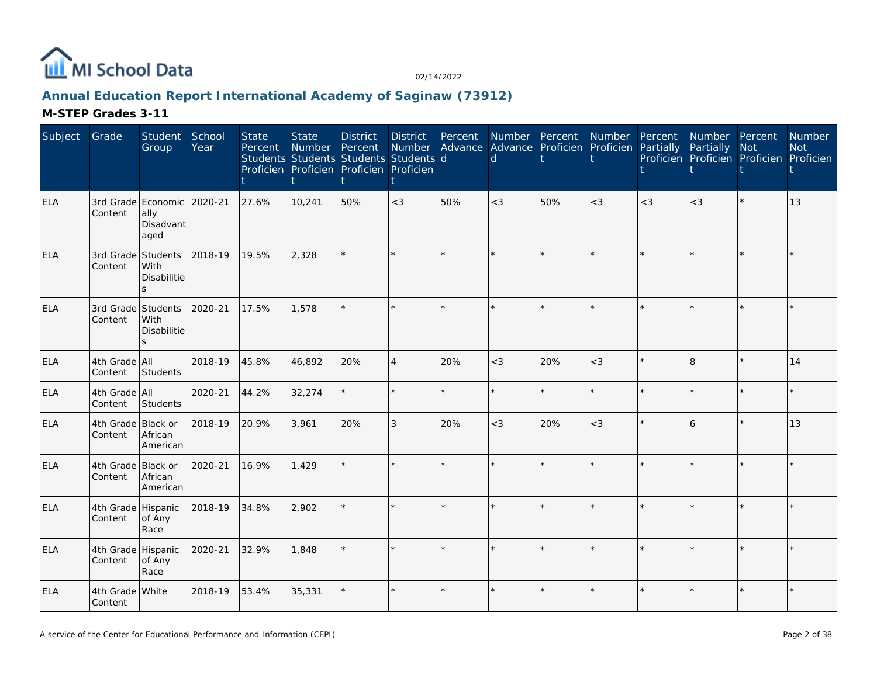

# **Annual Education Report International Academy of Saginaw (73912)**

| Subject    | Grade                         | Student<br>Group                                | School<br>Year | <b>State</b><br>Percent | <b>State</b><br>Number<br>Students Students Students Students d<br>Proficien Proficien Proficien Proficien | <b>District</b><br>Percent | <b>District</b><br>ŧ     | Percent<br>Number Advance Advance Proficien Proficien Partially | <sub>d</sub> |     | Number Percent Number Percent |       | Number Percent<br>Partially<br>Proficien Proficien Proficien Proficien | Not     | Number<br><b>Not</b> |
|------------|-------------------------------|-------------------------------------------------|----------------|-------------------------|------------------------------------------------------------------------------------------------------------|----------------------------|--------------------------|-----------------------------------------------------------------|--------------|-----|-------------------------------|-------|------------------------------------------------------------------------|---------|----------------------|
| <b>ELA</b> | Content                       | 3rd Grade Economic<br>ally<br>Disadvant<br>aged | 2020-21        | 27.6%                   | 10,241                                                                                                     | 50%                        | $<$ 3                    | 50%                                                             | $<$ 3        | 50% | $<$ 3                         | $<$ 3 | $<$ 3                                                                  | $\star$ | 13                   |
| <b>ELA</b> | 3rd Grade Students<br>Content | With<br><b>Disabilitie</b><br>$\mathbf{z}$      | 2018-19        | 19.5%                   | 2,328                                                                                                      |                            |                          |                                                                 |              |     | $\star$                       |       |                                                                        |         |                      |
| ELA        | 3rd Grade Students<br>Content | With<br><b>Disabilitie</b><br>S.                | 2020-21        | 17.5%                   | 1,578                                                                                                      |                            |                          |                                                                 |              |     | $\star$                       |       |                                                                        |         |                      |
| ELA        | 4th Grade All<br>Content      | Students                                        | 2018-19        | 45.8%                   | 46,892                                                                                                     | 20%                        | $\overline{\mathcal{A}}$ | 20%                                                             | $<$ 3        | 20% | $<$ 3                         |       | R.                                                                     |         | 14                   |
| <b>ELA</b> | 4th Grade All<br>Content      | Students                                        | 2020-21        | 44.2%                   | 32,274                                                                                                     |                            |                          | ÷.                                                              | ų.           |     | $\star$                       |       |                                                                        | ÷.      |                      |
| <b>ELA</b> | 4th Grade Black or<br>Content | African<br>American                             | 2018-19        | 20.9%                   | 3,961                                                                                                      | 20%                        | 3                        | 20%                                                             | $<$ 3        | 20% | $<$ 3                         |       | 6                                                                      | $\star$ | 13                   |
| <b>ELA</b> | 4th Grade<br>Content          | Black or<br>African<br>American                 | 2020-21        | 16.9%                   | 1,429                                                                                                      |                            |                          |                                                                 |              |     | $\star$                       |       |                                                                        | $\star$ |                      |
| ELA        | 4th Grade Hispanic<br>Content | of Any<br>Race                                  | 2018-19        | 34.8%                   | 2,902                                                                                                      |                            |                          | $\star$                                                         |              |     | ÷.                            |       |                                                                        | $\star$ |                      |
| <b>ELA</b> | 4th Grade<br>Content          | Hispanic<br>of Any<br>Race                      | 2020-21        | 32.9%                   | 1,848                                                                                                      |                            |                          |                                                                 |              |     |                               |       |                                                                        |         |                      |
| <b>ELA</b> | 4th Grade White<br>Content    |                                                 | 2018-19        | 53.4%                   | 35,331                                                                                                     |                            | $\star$                  |                                                                 |              |     | $\star$                       |       |                                                                        | $\star$ |                      |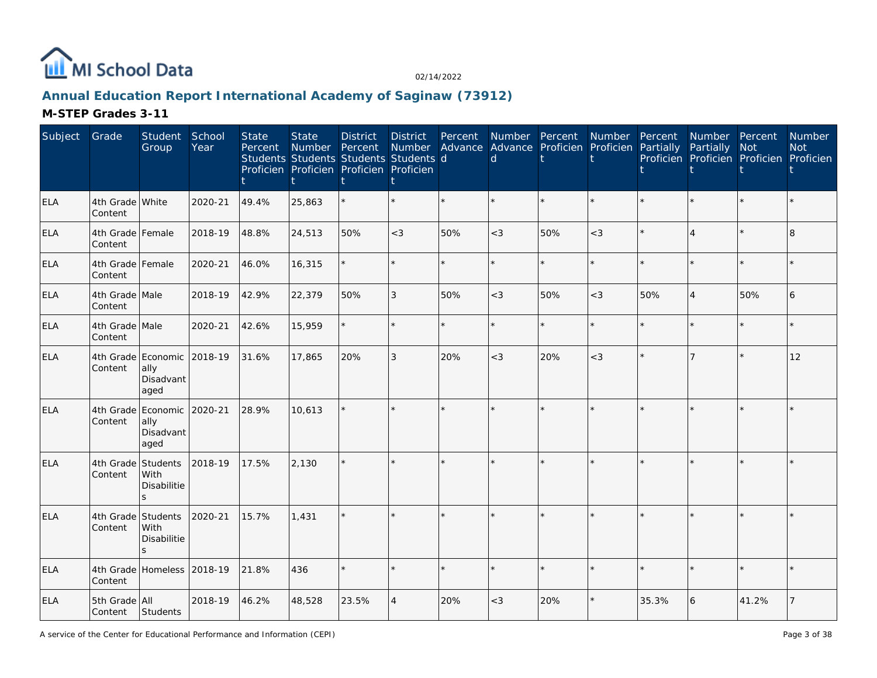

# **Annual Education Report International Academy of Saginaw (73912)**

| Subject    | Grade                       | Student<br>Group                                | School<br>Year | <b>State</b><br>Percent | <b>State</b><br>Number Percent<br>Students Students Students Students d<br>Proficien Proficien Proficien Proficien | <b>District</b> | <b>District</b><br>Number | Percent | Advance Advance Proficien Proficien Partially<br>d |     | Number Percent Number Percent |       | Number Percent<br>Partially<br>Proficien Proficien Proficien Proficien | Not     | Number<br><b>Not</b> |
|------------|-----------------------------|-------------------------------------------------|----------------|-------------------------|--------------------------------------------------------------------------------------------------------------------|-----------------|---------------------------|---------|----------------------------------------------------|-----|-------------------------------|-------|------------------------------------------------------------------------|---------|----------------------|
| <b>ELA</b> | 4th Grade White<br>Content  |                                                 | 2020-21        | 49.4%                   | 25,863                                                                                                             |                 |                           |         |                                                    |     |                               |       |                                                                        |         |                      |
| <b>ELA</b> | 4th Grade Female<br>Content |                                                 | 2018-19        | 48.8%                   | 24,513                                                                                                             | 50%             | $<\!3$                    | 50%     | $<$ 3                                              | 50% | $<$ 3                         |       | $\boldsymbol{\vartriangle}$                                            |         | 8                    |
| <b>ELA</b> | 4th Grade Female<br>Content |                                                 | 2020-21        | 46.0%                   | 16,315                                                                                                             |                 |                           | $\star$ | ÷                                                  |     | $\star$                       |       |                                                                        | $\star$ |                      |
| <b>ELA</b> | 4th Grade Male<br>Content   |                                                 | 2018-19        | 42.9%                   | 22,379                                                                                                             | 50%             | 3                         | 50%     | $<$ 3                                              | 50% | $<$ 3                         | 50%   | $\overline{4}$                                                         | 50%     | 6                    |
| <b>ELA</b> | 4th Grade Male<br>Content   |                                                 | 2020-21        | 42.6%                   | 15,959                                                                                                             |                 |                           | ×.      |                                                    |     | $\star$                       |       |                                                                        |         |                      |
| <b>ELA</b> | Content                     | 4th Grade Economic<br>ally<br>Disadvant<br>aged | 2018-19        | 31.6%                   | 17,865                                                                                                             | 20%             | 3                         | 20%     | $<$ 3                                              | 20% | $<$ 3                         |       | $\overline{7}$                                                         | ÷.      | 12                   |
| ELA        | Content                     | 4th Grade Economic<br>ally<br>Disadvant<br>aged | 2020-21        | 28.9%                   | 10,613                                                                                                             |                 |                           |         |                                                    |     |                               |       |                                                                        |         |                      |
| <b>ELA</b> | 4th Grade<br>Content        | Students<br>With<br>Disabilitie<br>S.           | 2018-19        | 17.5%                   | 2,130                                                                                                              |                 |                           |         |                                                    |     |                               |       |                                                                        |         |                      |
| <b>ELA</b> | 4th Grade<br>Content        | Students<br>With<br>Disabilitie<br>$\mathbf{S}$ | 2020-21        | 15.7%                   | 1,431                                                                                                              |                 |                           |         |                                                    |     |                               |       |                                                                        |         |                      |
| <b>ELA</b> | Content                     | 4th Grade Homeless 2018-19                      |                | 21.8%                   | 436                                                                                                                |                 |                           | $\star$ |                                                    |     | $\star$                       |       |                                                                        | ÷.      |                      |
| ELA        | 5th Grade All<br>Content    | Students                                        | 2018-19        | 46.2%                   | 48,528                                                                                                             | 23.5%           | 4                         | 20%     | $<$ 3                                              | 20% | *                             | 35.3% | 6                                                                      | 41.2%   |                      |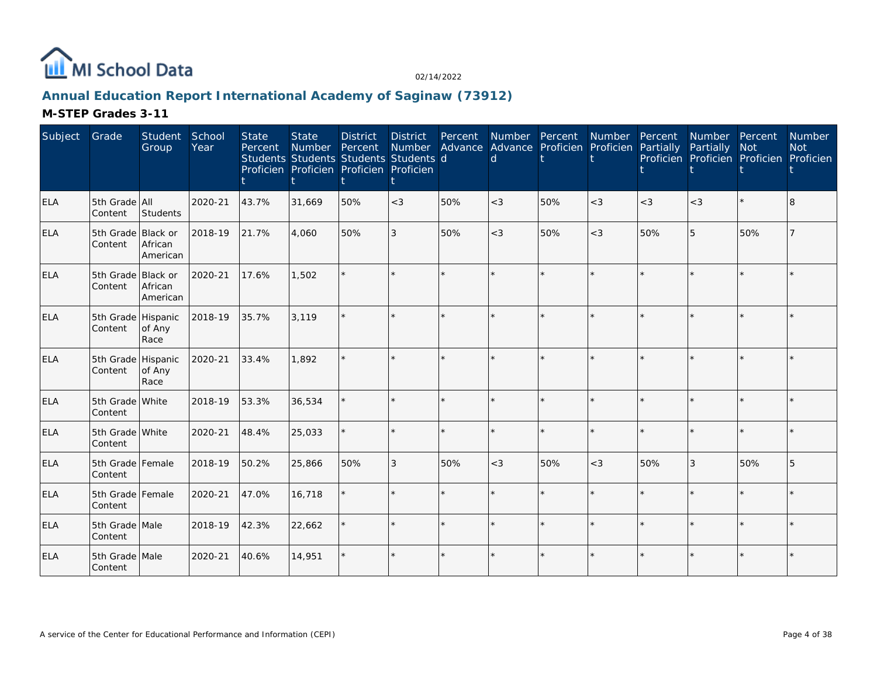

# **Annual Education Report International Academy of Saginaw (73912)**

| Subject    | Grade                         | Student<br>Group       | School<br>Year | <b>State</b><br>Percent | <b>State</b><br>Number<br>Students Students Students Students d<br>Proficien Proficien Proficien Proficien | <b>District</b><br>Percent | <b>District</b><br>Number | Percent | Number Percent<br>Advance Advance Proficien Proficien Partially<br>d |     | Number  | Percent | Number Percent<br>Partially<br>Proficien Proficien Proficien Proficien | <b>Not</b> | Number<br><b>Not</b> |
|------------|-------------------------------|------------------------|----------------|-------------------------|------------------------------------------------------------------------------------------------------------|----------------------------|---------------------------|---------|----------------------------------------------------------------------|-----|---------|---------|------------------------------------------------------------------------|------------|----------------------|
| <b>ELA</b> | 5th Grade<br>Content          | <b>AII</b><br>Students | 2020-21        | 43.7%                   | 31,669                                                                                                     | 50%                        | $<$ 3                     | 50%     | $<$ 3                                                                | 50% | $<$ 3   | $<$ 3   | $<\!3$                                                                 | $\star$    | 8                    |
| <b>ELA</b> | 5th Grade Black or<br>Content | African<br>American    | 2018-19        | 21.7%                   | 4.060                                                                                                      | 50%                        | 3                         | 50%     | $<$ 3                                                                | 50% | $<$ 3   | 50%     | 5                                                                      | 50%        |                      |
| ELA        | 5th Grade Black or<br>Content | African<br>American    | 2020-21        | 17.6%                   | 1,502                                                                                                      |                            |                           |         |                                                                      |     | $\star$ |         |                                                                        | $\star$    |                      |
| <b>ELA</b> | 5th Grade Hispanic<br>Content | of Any<br>Race         | 2018-19        | 35.7%                   | 3,119                                                                                                      |                            |                           |         |                                                                      |     |         |         |                                                                        |            |                      |
| <b>ELA</b> | 5th Grade Hispanic<br>Content | of Any<br>Race         | 2020-21        | 33.4%                   | 1,892                                                                                                      |                            |                           |         |                                                                      |     |         |         |                                                                        |            |                      |
| ELA        | 5th Grade White<br>Content    |                        | 2018-19        | 53.3%                   | 36,534                                                                                                     |                            |                           | $\star$ |                                                                      |     |         |         |                                                                        | $\star$    |                      |
| <b>ELA</b> | 5th Grade White<br>Content    |                        | 2020-21        | 48.4%                   | 25,033                                                                                                     |                            |                           |         |                                                                      |     | $\star$ |         |                                                                        | $\star$    |                      |
| <b>ELA</b> | 5th Grade Female<br>Content   |                        | 2018-19        | 50.2%                   | 25,866                                                                                                     | 50%                        | 3                         | 50%     | $<$ 3                                                                | 50% | $<$ 3   | 50%     | 3                                                                      | 50%        | 5                    |
| <b>ELA</b> | 5th Grade Female<br>Content   |                        | 2020-21        | 47.0%                   | 16,718                                                                                                     |                            |                           | $\star$ | ÷                                                                    |     | $\star$ |         |                                                                        | $\star$    |                      |
| <b>ELA</b> | 5th Grade Male<br>Content     |                        | 2018-19        | 42.3%                   | 22,662                                                                                                     |                            | ÷.                        | $\star$ | $\star$                                                              |     | $\star$ | ÷       | $\star$                                                                | $\star$    |                      |
| <b>ELA</b> | 5th Grade Male<br>Content     |                        | 2020-21        | 40.6%                   | 14,951                                                                                                     |                            |                           |         |                                                                      |     | $\star$ |         |                                                                        | $\star$    |                      |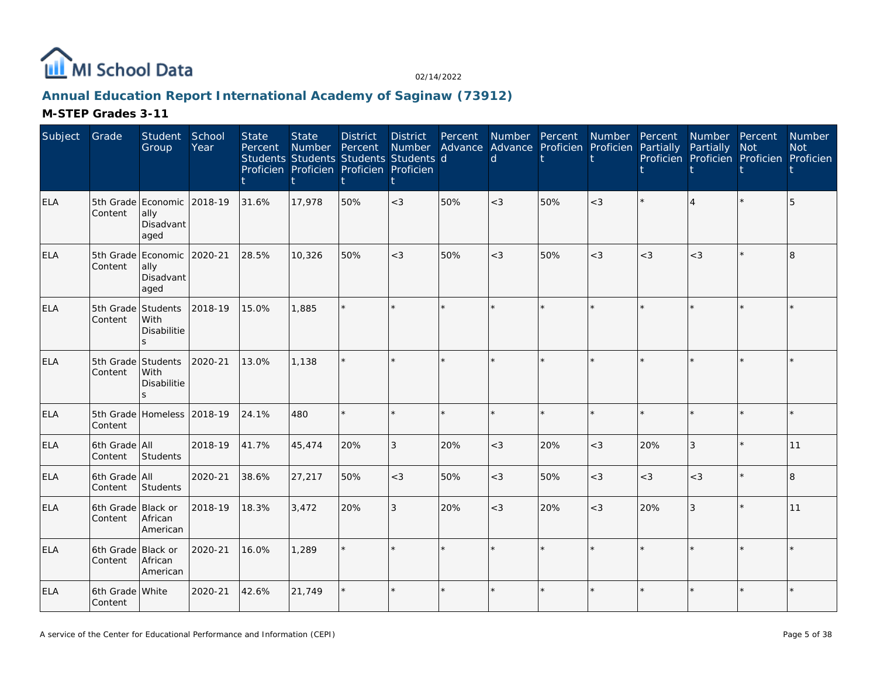

# **Annual Education Report International Academy of Saginaw (73912)**

| Subject    | Grade                         | Student<br>Group                                        | School<br>Year | <b>State</b><br>Percent | <b>State</b><br><b>Number</b> | <b>District</b><br>Percent<br>Students Students Students Students d<br>Proficien Proficien Proficien Proficien | <b>District</b><br>Number<br>t | Percent | $\mathsf{d}$ | Number Percent<br>Advance Advance Proficien Proficien Partially | Number  | Percent | Number Percent<br>Partially | Not<br>Proficien Proficien Proficien Proficien | <b>Number</b><br><b>Not</b> |
|------------|-------------------------------|---------------------------------------------------------|----------------|-------------------------|-------------------------------|----------------------------------------------------------------------------------------------------------------|--------------------------------|---------|--------------|-----------------------------------------------------------------|---------|---------|-----------------------------|------------------------------------------------|-----------------------------|
| ELA        | Content                       | 5th Grade Economic 2018-19<br>ally<br>Disadvant<br>aged |                | 31.6%                   | 17,978                        | 50%                                                                                                            | $<$ 3                          | 50%     | $<$ 3        | 50%                                                             | $<$ 3   |         |                             | $\star$                                        | 5                           |
| <b>ELA</b> | Content                       | 5th Grade Economic 2020-21<br>ally<br>Disadvant<br>aged |                | 28.5%                   | 10,326                        | 50%                                                                                                            | $<$ 3                          | 50%     | $<$ 3        | 50%                                                             | $<$ 3   | $<$ 3   | $<$ 3                       | $\star$                                        | 8                           |
| ELA        | Content                       | 5th Grade Students<br>With<br>Disabilitie<br>S.         | 2018-19        | 15.0%                   | 1,885                         |                                                                                                                | $\star$                        |         |              |                                                                 |         |         |                             | $\star$                                        |                             |
| <b>ELA</b> | Content                       | 5th Grade Students<br>With<br>Disabilitie<br>$\leq$     | 2020-21        | 13.0%                   | 1.138                         |                                                                                                                | $\star$                        |         |              |                                                                 |         |         |                             |                                                |                             |
| <b>ELA</b> | Content                       | 5th Grade Homeless 2018-19                              |                | 24.1%                   | 480                           |                                                                                                                | ÷.                             | $\star$ |              |                                                                 | $\star$ |         |                             | $\star$                                        |                             |
| <b>ELA</b> | 6th Grade All<br>Content      | Students                                                | 2018-19        | 41.7%                   | 45,474                        | 20%                                                                                                            | 3                              | 20%     | $<$ 3        | 20%                                                             | $<$ 3   | 20%     | 3                           | $\star$                                        | 11                          |
| <b>ELA</b> | 6th Grade All<br>Content      | Students                                                | 2020-21        | 38.6%                   | 27,217                        | 50%                                                                                                            | $<$ 3                          | 50%     | $<$ 3        | 50%                                                             | $<$ 3   | $<$ 3   | $<$ 3                       |                                                | 8                           |
| <b>ELA</b> | 6th Grade Black or<br>Content | African<br>American                                     | 2018-19        | 18.3%                   | 3,472                         | 20%                                                                                                            | 3                              | 20%     | $<$ 3        | 20%                                                             | $<$ 3   | 20%     | 3                           | $\star$                                        | 11                          |
| <b>ELA</b> | 6th Grade Black or<br>Content | African<br>American                                     | 2020-21        | 16.0%                   | 1,289                         |                                                                                                                | k.                             |         |              |                                                                 |         |         |                             | $\star$                                        |                             |
| <b>ELA</b> | 6th Grade White<br>Content    |                                                         | 2020-21        | 42.6%                   | 21,749                        |                                                                                                                | $\star$                        |         |              |                                                                 |         |         |                             | $\star$                                        |                             |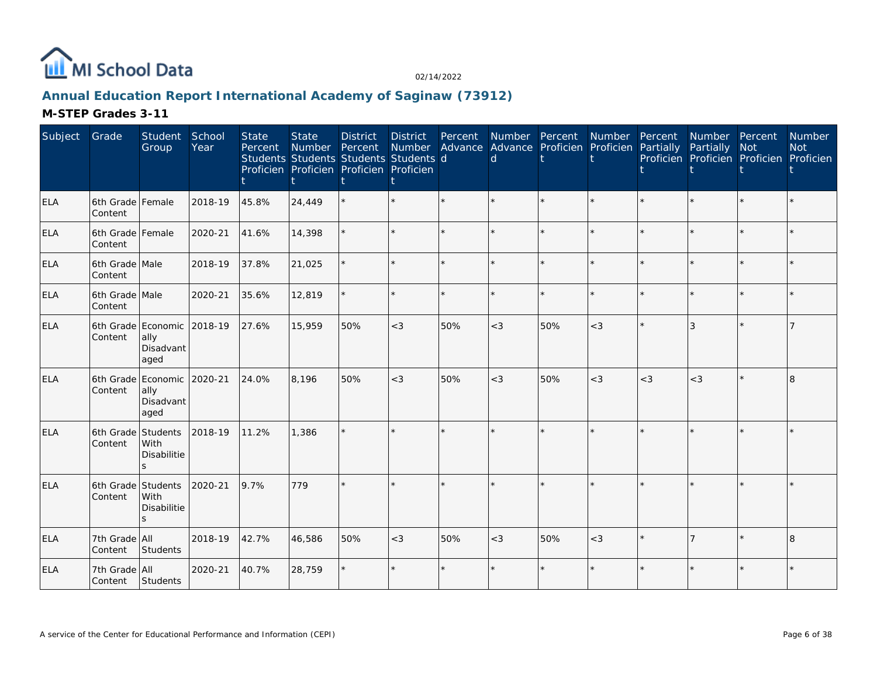

# **Annual Education Report International Academy of Saginaw (73912)**

| Subject    | Grade                         | Student<br>Group                                        | School<br>Year | <b>State</b><br>Percent | <b>State</b><br>Number<br>Students Students Students Students d<br>Proficien Proficien Proficien Proficien | <b>District</b><br>Percent | <b>District</b><br>Number | Percent | Number Percent<br>Advance Advance Proficien Proficien Partially<br>d |     | Number Percent |       | Number Percent<br>Partially<br>Proficien Proficien Proficien Proficien | <b>Not</b> | Number<br><b>Not</b> |
|------------|-------------------------------|---------------------------------------------------------|----------------|-------------------------|------------------------------------------------------------------------------------------------------------|----------------------------|---------------------------|---------|----------------------------------------------------------------------|-----|----------------|-------|------------------------------------------------------------------------|------------|----------------------|
| <b>ELA</b> | 6th Grade Female<br>Content   |                                                         | 2018-19        | 45.8%                   | 24,449                                                                                                     |                            |                           | $\star$ |                                                                      |     | $\star$        |       |                                                                        | $\star$    |                      |
| <b>ELA</b> | 6th Grade Female<br>Content   |                                                         | 2020-21        | 41.6%                   | 14,398                                                                                                     |                            |                           | ÷.      |                                                                      |     | ÷.             |       |                                                                        | ÷.         |                      |
| <b>ELA</b> | 6th Grade Male<br>Content     |                                                         | 2018-19        | 37.8%                   | 21,025                                                                                                     |                            |                           | $\star$ |                                                                      |     | $\star$        |       |                                                                        | $\star$    |                      |
| ELA        | 6th Grade Male<br>Content     |                                                         | 2020-21        | 35.6%                   | 12,819                                                                                                     |                            |                           |         |                                                                      |     | $\star$        |       |                                                                        | ÷          |                      |
| <b>ELA</b> | Content                       | 6th Grade Economic<br>ally<br>Disadvant<br>aged         | 2018-19        | 27.6%                   | 15,959                                                                                                     | 50%                        | $<$ 3                     | 50%     | $<$ 3                                                                | 50% | $<$ 3          |       | 3                                                                      | ÷          |                      |
| <b>ELA</b> | Content                       | 6th Grade Economic 2020-21<br>ally<br>Disadvant<br>aged |                | 24.0%                   | 8,196                                                                                                      | 50%                        | $<$ 3                     | 50%     | $<$ 3                                                                | 50% | $<$ 3          | $<$ 3 | $<$ 3                                                                  | $\star$    | 8                    |
| <b>ELA</b> | 6th Grade<br>Content          | Students<br>With<br>Disabilitie                         | 2018-19        | 11.2%                   | 1,386                                                                                                      |                            |                           |         |                                                                      |     |                |       |                                                                        |            |                      |
| <b>ELA</b> | 6th Grade Students<br>Content | With<br><b>Disabilitie</b><br>$\mathbf{S}$              | 2020-21        | 9.7%                    | 779                                                                                                        |                            |                           |         |                                                                      |     | $\star$        |       |                                                                        |            |                      |
| <b>ELA</b> | 7th Grade All<br>Content      | Students                                                | 2018-19        | 42.7%                   | 46,586                                                                                                     | 50%                        | $<$ 3                     | 50%     | $<$ 3                                                                | 50% | $<$ 3          |       |                                                                        | $\star$    | 8                    |
| <b>ELA</b> | 7th Grade All<br>Content      | Students                                                | 2020-21        | 40.7%                   | 28,759                                                                                                     |                            | $\star$                   | $\star$ |                                                                      |     | $\star$        |       |                                                                        | $\star$    |                      |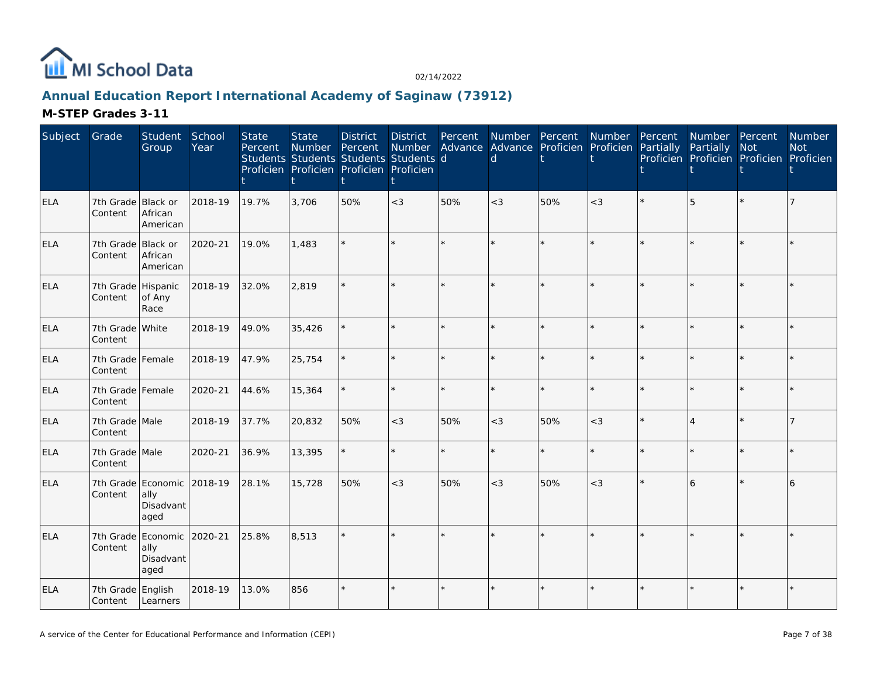

# **Annual Education Report International Academy of Saginaw (73912)**

| Subject    | Grade                                 | Student<br>Group                                        | School<br>Year | <b>State</b><br>Percent | <b>State</b><br>Number<br>Students Students Students Students d<br>Proficien Proficien Proficien Proficien | <b>District</b><br>Percent | <b>District</b><br>Number | Percent | Advance Advance Proficien Proficien Partially<br>d | Number Percent | Number Percent | Number Percent<br>Partially<br>Proficien Proficien Proficien Proficien | <b>Not</b> | <b>Number</b><br><b>Not</b> |
|------------|---------------------------------------|---------------------------------------------------------|----------------|-------------------------|------------------------------------------------------------------------------------------------------------|----------------------------|---------------------------|---------|----------------------------------------------------|----------------|----------------|------------------------------------------------------------------------|------------|-----------------------------|
| <b>ELA</b> | 7th Grade Black or<br>Content         | African<br>American                                     | 2018-19        | 19.7%                   | 3,706                                                                                                      | 50%                        | $<$ 3                     | 50%     | $<$ 3                                              | 50%            | $<$ 3          | 5                                                                      |            |                             |
| <b>ELA</b> | 7th Grade Black or<br>Content         | African<br>American                                     | 2020-21        | 19.0%                   | 1,483                                                                                                      |                            | $\star$                   |         |                                                    |                | $\star$        |                                                                        | $\star$    |                             |
| <b>ELA</b> | 7th Grade Hispanic<br>Content         | of Any<br>Race                                          | 2018-19        | 32.0%                   | 2,819                                                                                                      |                            | ÷.                        |         |                                                    |                | ÷.             |                                                                        | ÷          |                             |
| <b>ELA</b> | 7th Grade White<br>Content            |                                                         | 2018-19        | 49.0%                   | 35,426                                                                                                     |                            | $\star$                   |         |                                                    |                |                |                                                                        |            |                             |
| <b>ELA</b> | 7th Grade Female<br>Content           |                                                         | 2018-19        | 47.9%                   | 25,754                                                                                                     |                            | $\star$                   |         |                                                    |                | $\star$        |                                                                        | $\star$    |                             |
| <b>ELA</b> | 7th Grade Female<br>Content           |                                                         | 2020-21        | 44.6%                   | 15,364                                                                                                     |                            | $\star$                   | ÷.      |                                                    |                | $\star$        |                                                                        | $\star$    |                             |
| <b>ELA</b> | 7th Grade Male<br>Content             |                                                         | 2018-19        | 37.7%                   | 20,832                                                                                                     | 50%                        | $<$ 3                     | 50%     | $<$ 3                                              | 50%            | $<$ 3          | $\overline{4}$                                                         | $\star$    |                             |
| <b>ELA</b> | 7th Grade Male<br>Content             |                                                         | 2020-21        | 36.9%                   | 13,395                                                                                                     |                            | $\star$                   | ÷.      |                                                    |                | $\star$        |                                                                        | ÷          |                             |
| <b>ELA</b> | Content                               | 7th Grade Economic 2018-19<br>ally<br>Disadvant<br>aged |                | 28.1%                   | 15,728                                                                                                     | 50%                        | $<$ 3                     | 50%     | $<$ 3                                              | 50%            | $<$ 3          | 6                                                                      | $\star$    |                             |
| <b>ELA</b> | Content                               | 7th Grade Economic 2020-21<br>ally<br>Disadvant<br>aged |                | 25.8%                   | 8,513                                                                                                      |                            | ÷.                        |         |                                                    |                |                |                                                                        |            |                             |
| ELA        | 7th Grade English<br>Content Learners |                                                         | 2018-19        | 13.0%                   | 856                                                                                                        |                            | $\star$                   |         |                                                    |                | $\star$        |                                                                        | $\star$    |                             |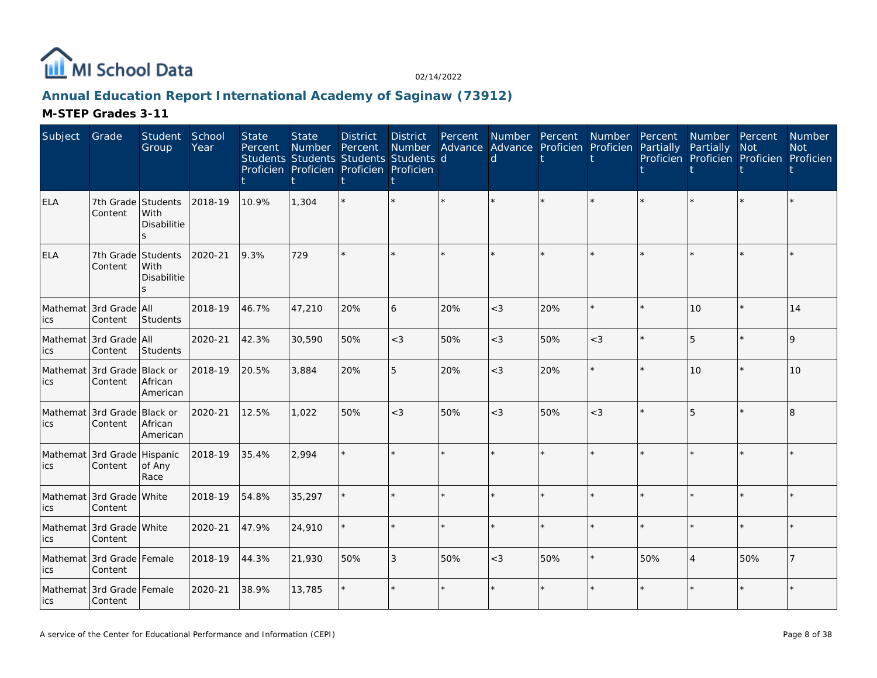

# **Annual Education Report International Academy of Saginaw (73912)**

| Subject    | Grade                                  | Student<br>Group                                 | School<br>Year | <b>State</b><br>Percent | <b>State</b><br><b>Number</b> | <b>District</b><br>Percent<br>Students Students Students Students d<br>Proficien Proficien Proficien Proficien | <b>District</b><br>Number<br>İ | Percent | $\mathsf{d}$ | Number Percent<br>Advance Advance Proficien Proficien | Number  | Percent<br>Partially | Number Percent<br>Partially | Not<br>Proficien Proficien Proficien Proficien | <b>Number</b><br><b>Not</b> |
|------------|----------------------------------------|--------------------------------------------------|----------------|-------------------------|-------------------------------|----------------------------------------------------------------------------------------------------------------|--------------------------------|---------|--------------|-------------------------------------------------------|---------|----------------------|-----------------------------|------------------------------------------------|-----------------------------|
| <b>ELA</b> | 7th Grade Students<br>Content          | With<br>Disabilitie                              | 2018-19        | 10.9%                   | 1,304                         |                                                                                                                | k.                             |         |              |                                                       |         |                      |                             |                                                |                             |
| ELA        | Content                                | 7th Grade Students<br><b>With</b><br>Disabilitie | 2020-21        | 9.3%                    | 729                           |                                                                                                                | $\star$                        |         |              |                                                       |         |                      |                             |                                                |                             |
| ics        | Mathemat 3rd Grade   All<br>Content    | Students                                         | 2018-19        | 46.7%                   | 47,210                        | 20%                                                                                                            | 6                              | 20%     | $<$ 3        | 20%                                                   | $\star$ |                      | 10                          | $\star$                                        | 14                          |
| ics        | Mathemat 3rd Grade All<br>Content      | Students                                         | 2020-21        | 42.3%                   | 30,590                        | 50%                                                                                                            | $<$ 3                          | 50%     | $<$ 3        | 50%                                                   | $<$ 3   |                      | 5                           | $\star$                                        | $\mathsf{Q}$                |
| ics        | Mathemat 3rd Grade Black or<br>Content | African<br>American                              | 2018-19        | 20.5%                   | 3,884                         | 20%                                                                                                            | 5                              | 20%     | $<$ 3        | 20%                                                   | $\star$ |                      | 10                          | $\star$                                        | 10                          |
| lics       | Mathemat 3rd Grade Black or<br>Content | African<br>American                              | 2020-21        | 12.5%                   | 1,022                         | 50%                                                                                                            | $<$ 3                          | 50%     | $<$ 3        | 50%                                                   | $<$ 3   |                      | 5                           | $\star$                                        | 8                           |
| ics        | Mathemat 3rd Grade Hispanic<br>Content | of Any<br>Race                                   | 2018-19        | 35.4%                   | 2,994                         |                                                                                                                | $\star$                        |         |              |                                                       |         |                      |                             | $\star$                                        |                             |
| ics        | Mathemat 3rd Grade White<br>Content    |                                                  | 2018-19        | 54.8%                   | 35,297                        |                                                                                                                | $\star$                        |         |              |                                                       |         |                      |                             | $\star$                                        |                             |
| ics        | Mathemat 3rd Grade White<br>Content    |                                                  | 2020-21        | 47.9%                   | 24,910                        |                                                                                                                | $\star$                        |         |              |                                                       |         |                      |                             | $\star$                                        |                             |
| ics        | Mathemat 3rd Grade Female<br>Content   |                                                  | 2018-19        | 44.3%                   | 21,930                        | 50%                                                                                                            | 3                              | 50%     | $<$ 3        | 50%                                                   |         | 50%                  | $\overline{4}$              | 50%                                            |                             |
| ics        | Mathemat 3rd Grade Female<br>Content   |                                                  | 2020-21        | 38.9%                   | 13,785                        |                                                                                                                | $\star$                        |         |              |                                                       |         |                      |                             | $\star$                                        |                             |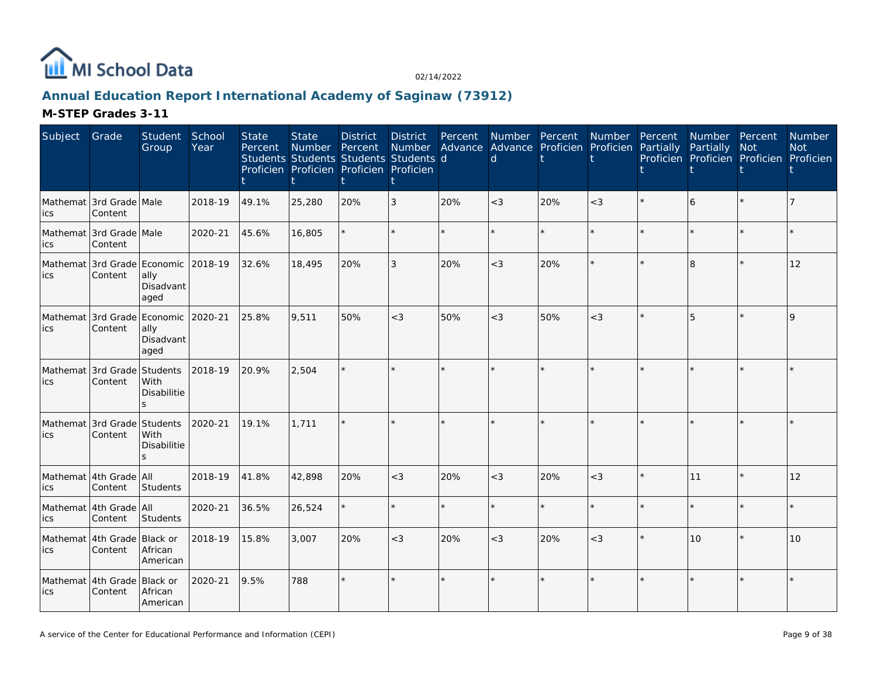

# **Annual Education Report International Academy of Saginaw (73912)**

| Subject                             | Grade                                  | Student<br>Group          | School<br>Year | <b>State</b><br>Percent | <b>State</b><br>Number Percent<br>Students Students Students Students d<br>Proficien Proficien Proficien Proficien | <b>District</b> | District<br>Number | Percent | $\mathsf{d}$ |     | Number Percent Number Percent<br>Advance Advance Proficien Proficien Partially | Number Percent<br>Partially<br>Proficien Proficien Proficien Proficien | <b>Not</b> | Number<br><b>Not</b> |
|-------------------------------------|----------------------------------------|---------------------------|----------------|-------------------------|--------------------------------------------------------------------------------------------------------------------|-----------------|--------------------|---------|--------------|-----|--------------------------------------------------------------------------------|------------------------------------------------------------------------|------------|----------------------|
| ics                                 | Mathemat 3rd Grade Male<br>Content     |                           | 2018-19        | 49.1%                   | 25,280                                                                                                             | 20%             | 3                  | 20%     | $<$ 3        | 20% | $<$ 3                                                                          | 6                                                                      |            |                      |
| ics                                 | Mathemat 3rd Grade Male<br>Content     |                           | 2020-21        | 45.6%                   | 16,805                                                                                                             |                 |                    |         |              |     | $\star$                                                                        |                                                                        |            |                      |
| lics                                | Mathemat 3rd Grade Economic<br>Content | ally<br>Disadvant<br>aged | 2018-19        | 32.6%                   | 18,495                                                                                                             | 20%             | $\mathcal{E}$      | 20%     | $<$ 3        | 20% |                                                                                | 8                                                                      |            | 12                   |
| ics                                 | Mathemat 3rd Grade Economic<br>Content | ally<br>Disadvant<br>aged | 2020-21        | 25.8%                   | 9,511                                                                                                              | 50%             | $<$ 3              | 50%     | $<$ 3        | 50% | $<$ 3                                                                          | 5                                                                      |            | $\Omega$             |
| Mathemat 3rd Grade Students<br>lics | Content                                | With<br>Disabilitie       | 2018-19        | 20.9%                   | 2,504                                                                                                              |                 |                    |         |              |     |                                                                                |                                                                        |            |                      |
| Mathemat 3rd Grade Students<br>lics | Content                                | With<br>Disabilitie<br>S. | 2020-21        | 19.1%                   | 1,711                                                                                                              |                 |                    |         |              |     |                                                                                |                                                                        |            |                      |
| lics                                | Mathemat 4th Grade All<br>Content      | Students                  | 2018-19        | 41.8%                   | 42,898                                                                                                             | 20%             | $<$ 3              | 20%     | $<$ 3        | 20% | $<$ 3                                                                          | l 11                                                                   |            | 12                   |
| ics                                 | Mathemat 4th Grade All<br>Content      | Students                  | 2020-21        | 36.5%                   | 26,524                                                                                                             |                 |                    | ÷.      |              |     | $\star$                                                                        |                                                                        |            |                      |
| lics                                | Mathemat 4th Grade Black or<br>Content | African<br>American       | 2018-19        | 15.8%                   | 3,007                                                                                                              | 20%             | $<$ 3              | 20%     | $<$ 3        | 20% | $<$ 3                                                                          | 10                                                                     |            | 10                   |
| lics                                | Mathemat 4th Grade Black or<br>Content | African<br>American       | 2020-21        | 9.5%                    | 788                                                                                                                |                 |                    |         |              |     |                                                                                |                                                                        |            |                      |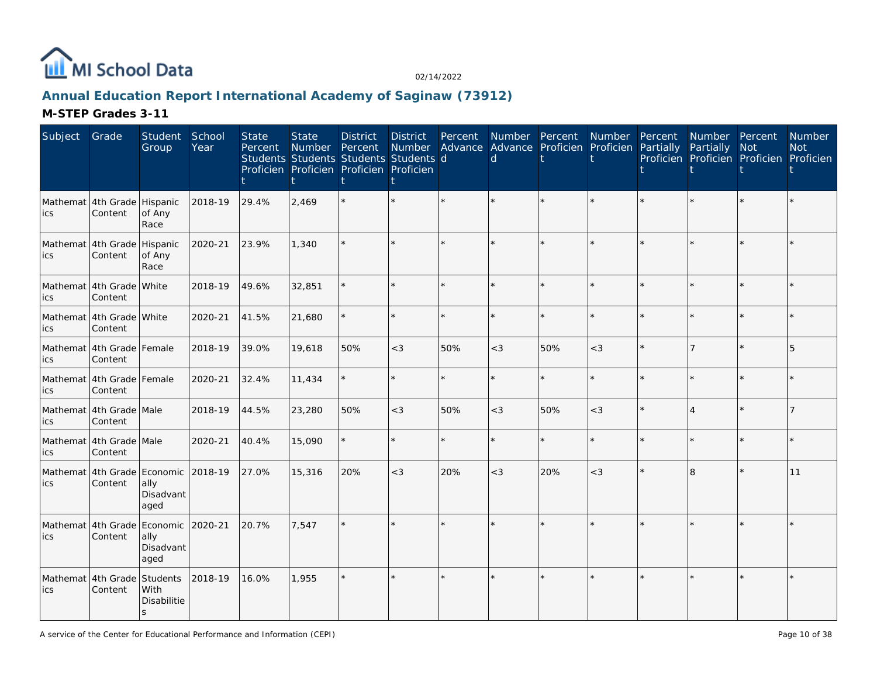

# **Annual Education Report International Academy of Saginaw (73912)**

| Subject                             | Grade                                          | Student<br>Group                              | School<br>Year | <b>State</b><br>Percent | <b>State</b><br>Number<br>Students Students Students Students d<br>Proficien Proficien Proficien Proficien | <b>District</b><br>Percent | <b>District</b><br>Number | Percent | <sub>d</sub> | Number Percent Number<br>Advance Advance Proficien Proficien |         | Percent<br>Partially | Number Percent<br>Partially<br>Proficien Proficien Proficien Proficien | Not     | Number<br><b>Not</b> |
|-------------------------------------|------------------------------------------------|-----------------------------------------------|----------------|-------------------------|------------------------------------------------------------------------------------------------------------|----------------------------|---------------------------|---------|--------------|--------------------------------------------------------------|---------|----------------------|------------------------------------------------------------------------|---------|----------------------|
| ics                                 | Mathemat 4th Grade Hispanic<br>Content         | of Any<br>Race                                | 2018-19        | 29.4%                   | 2,469                                                                                                      |                            |                           |         |              |                                                              |         |                      |                                                                        | ÷.      |                      |
| Mathemat 4th Grade Hispanic<br>ics  | Content                                        | of Any<br>Race                                | 2020-21        | 23.9%                   | 1,340                                                                                                      |                            |                           |         |              |                                                              | ÷.      |                      |                                                                        | $\star$ |                      |
| lics                                | Mathemat 4th Grade White<br>Content            |                                               | 2018-19        | 49.6%                   | 32,851                                                                                                     |                            |                           | ÷.      |              |                                                              | $\star$ |                      |                                                                        | $\star$ |                      |
| ics                                 | Mathemat 4th Grade White<br>Content            |                                               | 2020-21        | 41.5%                   | 21,680                                                                                                     |                            |                           | $\star$ |              |                                                              | $\star$ |                      |                                                                        | $\star$ |                      |
| ics                                 | Mathemat 4th Grade Female<br>Content           |                                               | 2018-19        | 39.0%                   | 19,618                                                                                                     | 50%                        | $<$ 3                     | 50%     | $<$ 3        | 50%                                                          | $<$ 3   |                      |                                                                        |         |                      |
| ics                                 | Mathemat 4th Grade Female<br>Content           |                                               | 2020-21        | 32.4%                   | 11,434                                                                                                     |                            |                           |         |              |                                                              | $\star$ |                      |                                                                        | $\star$ |                      |
| lics                                | Mathemat 4th Grade Male<br>Content             |                                               | 2018-19        | 44.5%                   | 23,280                                                                                                     | 50%                        | $<$ 3                     | 50%     | $<$ 3        | 50%                                                          | $<$ 3   |                      | $\Delta$                                                               | $\star$ |                      |
| ics                                 | Mathemat 4th Grade Male<br>Content             |                                               | 2020-21        | 40.4%                   | 15,090                                                                                                     |                            |                           |         |              |                                                              | $\star$ |                      |                                                                        | $\star$ |                      |
| ics                                 | Mathemat 4th Grade Economic 2018-19<br>Content | ally<br>Disadvant<br>aged                     |                | 27.0%                   | 15,316                                                                                                     | 20%                        | $<$ 3                     | 20%     | $<$ 3        | 20%                                                          | $<$ 3   |                      | 8                                                                      | $\star$ | 11                   |
| Mathemat 4th Grade<br>ics           | Content                                        | Economic 2020-21<br>ally<br>Disadvant<br>aged |                | 20.7%                   | 7,547                                                                                                      |                            |                           |         |              |                                                              |         |                      |                                                                        |         |                      |
| Mathemat 4th Grade Students<br>lics | Content                                        | With<br>Disabilitie<br>S                      | 2018-19        | 16.0%                   | 1,955                                                                                                      |                            |                           | ÷.      |              |                                                              | $\star$ |                      |                                                                        | $\star$ |                      |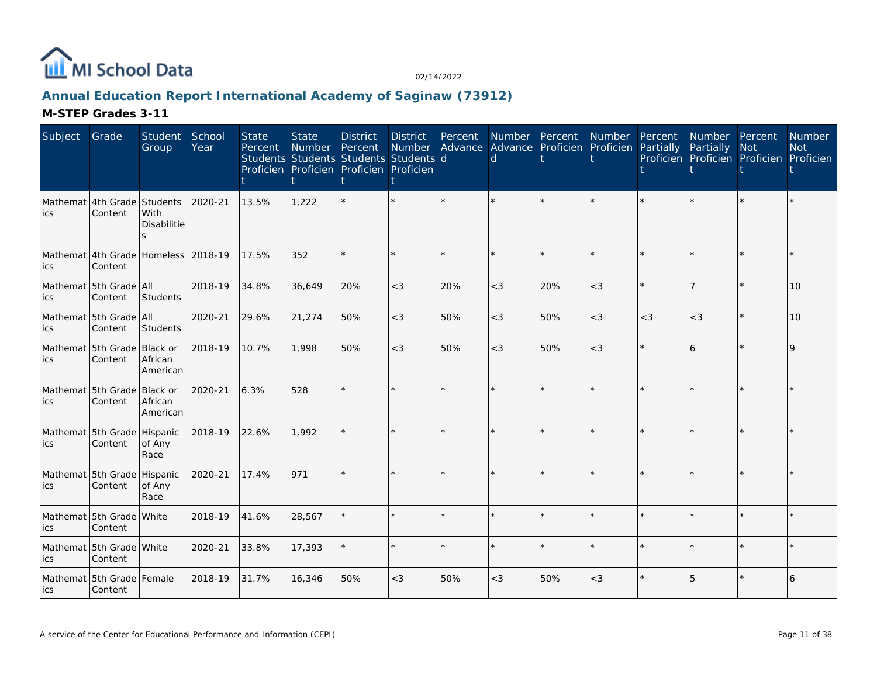

# **Annual Education Report International Academy of Saginaw (73912)**

| Subject                             | Grade                                  | Student<br>Group    | School<br>Year | <b>State</b><br>Percent | <b>State</b><br>Number<br>Students Students Students Students d<br>Proficien Proficien Proficien Proficien | <b>District</b><br>Percent | District<br><b>Number</b> | Percent | Number Percent<br>d |     | Number Percent<br>Advance Advance Proficien Proficien Partially |       | Number Percent<br>Partially<br>Proficien Proficien Proficien Proficien | <b>Not</b> | <b>Number</b><br><b>Not</b> |
|-------------------------------------|----------------------------------------|---------------------|----------------|-------------------------|------------------------------------------------------------------------------------------------------------|----------------------------|---------------------------|---------|---------------------|-----|-----------------------------------------------------------------|-------|------------------------------------------------------------------------|------------|-----------------------------|
| ics                                 | Mathemat 4th Grade Students<br>Content | With<br>Disabilitie | 2020-21        | 13.5%                   | 1,222                                                                                                      |                            |                           |         |                     |     |                                                                 |       |                                                                        |            |                             |
| ics                                 | Mathemat 4th Grade Homeless<br>Content |                     | 2018-19        | 17.5%                   | 352                                                                                                        |                            |                           | $\star$ |                     |     | $\star$                                                         |       |                                                                        |            |                             |
| ics                                 | Mathemat 5th Grade All<br>Content      | Students            | 2018-19        | 34.8%                   | 36,649                                                                                                     | 20%                        | $<$ 3                     | 20%     | $<$ 3               | 20% | $<$ 3                                                           |       |                                                                        |            | 10                          |
| lics                                | Mathemat 5th Grade All<br>Content      | Students            | 2020-21        | 29.6%                   | 21,274                                                                                                     | 50%                        | $<$ 3                     | 50%     | $<$ 3               | 50% | $<$ 3                                                           | $<$ 3 | $<$ 3                                                                  |            | 10                          |
| lics                                | Mathemat 5th Grade Black or<br>Content | African<br>American | 2018-19        | 10.7%                   | 1.998                                                                                                      | 50%                        | $<$ 3                     | 50%     | $<$ 3               | 50% | $<$ 3                                                           |       | 6                                                                      |            | $\mathsf{Q}$                |
| Mathemat 5th Grade Black or<br>lics | Content                                | African<br>American | 2020-21        | 6.3%                    | 528                                                                                                        |                            |                           | $\star$ |                     |     | $\star$                                                         |       |                                                                        |            |                             |
| ics                                 | Mathemat 5th Grade Hispanic<br>Content | of Any<br>Race      | 2018-19        | 22.6%                   | 1,992                                                                                                      |                            |                           |         |                     |     |                                                                 |       |                                                                        |            |                             |
| lics                                | Mathemat 5th Grade Hispanic<br>Content | of Any<br>Race      | 2020-21        | 17.4%                   | 971                                                                                                        |                            |                           |         |                     |     |                                                                 |       |                                                                        |            |                             |
| lics                                | Mathemat 5th Grade White<br>Content    |                     | 2018-19        | 41.6%                   | 28,567                                                                                                     |                            |                           | $\star$ |                     |     | ÷.                                                              |       |                                                                        | ÷.         |                             |
| ics                                 | Mathemat 5th Grade White<br>Content    |                     | 2020-21        | 33.8%                   | 17,393                                                                                                     |                            |                           | $\star$ |                     |     | $\star$                                                         |       |                                                                        |            |                             |
| <b>ics</b>                          | Mathemat 5th Grade Female<br>Content   |                     | 2018-19        | 31.7%                   | 16,346                                                                                                     | 50%                        | $<\!3$                    | 50%     | $<$ 3               | 50% | $<$ 3                                                           |       | 5                                                                      |            | 6                           |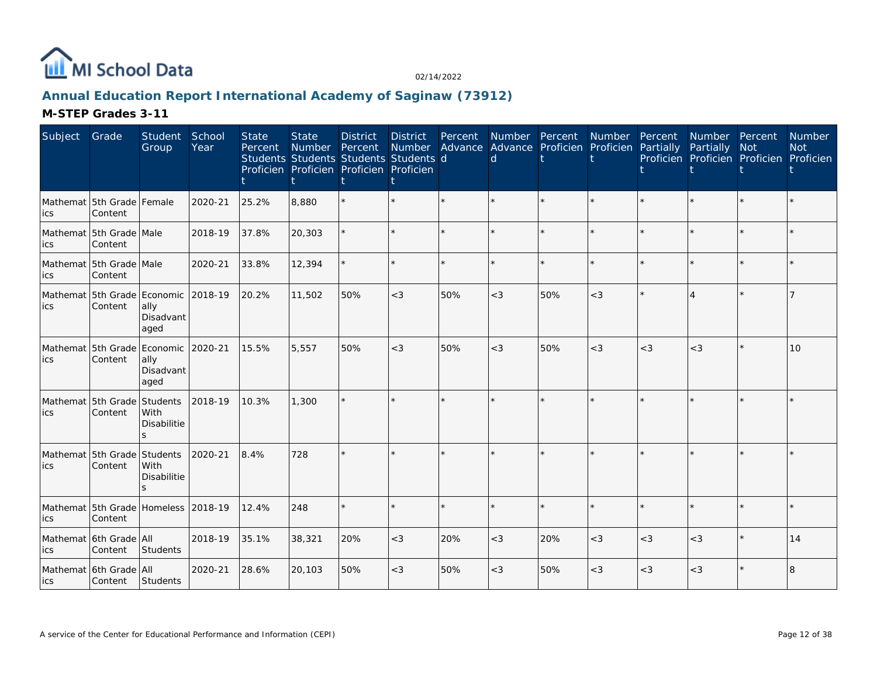

# **Annual Education Report International Academy of Saginaw (73912)**

| Subject                                     | Grade                                          | Student<br>Group                     | School<br>Year | <b>State</b><br>Percent | <b>State</b><br>Number Percent<br>Students Students Students Students d<br>Proficien Proficien Proficien Proficien | <b>District</b> | District<br>Number | Percent | Advance Advance Proficien Proficien Partially<br>d | Number Percent | Number Percent |       | Number Percent<br>Partially<br>Proficien Proficien Proficien Proficien | <b>Not</b> | <b>Number</b><br><b>Not</b> |
|---------------------------------------------|------------------------------------------------|--------------------------------------|----------------|-------------------------|--------------------------------------------------------------------------------------------------------------------|-----------------|--------------------|---------|----------------------------------------------------|----------------|----------------|-------|------------------------------------------------------------------------|------------|-----------------------------|
| Mathemat 5th Grade Female<br>lics           | Content                                        |                                      | 2020-21        | 25.2%                   | 8,880                                                                                                              |                 |                    | $\star$ |                                                    |                | $\star$        |       |                                                                        |            |                             |
| Mathemat 5th Grade Male<br>lics             | Content                                        |                                      | 2018-19        | 37.8%                   | 20,303                                                                                                             |                 |                    | ÷.      |                                                    |                | ÷.             |       |                                                                        | ÷.         |                             |
| Mathemat 5th Grade Male<br>lics             | Content                                        |                                      | 2020-21        | 33.8%                   | 12,394                                                                                                             |                 |                    | $\star$ |                                                    |                | $\star$        |       |                                                                        |            |                             |
| Mathemat 5th Grade Economic<br>lics         | Content                                        | ally<br>Disadvant<br>aged            | 2018-19        | 20.2%                   | 11,502                                                                                                             | 50%             | $<$ 3              | 50%     | $<$ 3                                              | 50%            | $<$ 3          |       |                                                                        |            |                             |
| Mathemat 5th Grade Economic 2020-21<br>lics | Content                                        | ally<br>Disadvant<br>aged            |                | 15.5%                   | 5,557                                                                                                              | 50%             | $<$ 3              | 50%     | $<$ 3                                              | 50%            | $<$ 3          | $<$ 3 | $<$ 3                                                                  |            | 10                          |
| Mathemat 5th Grade<br>lics                  | Content                                        | Students<br>With<br>Disabilitie      | 2018-19        | 10.3%                   | 1,300                                                                                                              |                 |                    |         |                                                    |                |                |       |                                                                        |            |                             |
| Mathemat 5th Grade Students<br>lics         | Content                                        | With<br>Disabilitie<br>$\mathcal{S}$ | 2020-21        | 8.4%                    | 728                                                                                                                |                 |                    |         |                                                    |                |                |       |                                                                        |            |                             |
| ics                                         | Mathemat 5th Grade Homeless 2018-19<br>Content |                                      |                | 12.4%                   | 248                                                                                                                |                 |                    |         |                                                    |                |                |       |                                                                        |            |                             |
| lics                                        | Mathemat 6th Grade All<br>Content              | <b>Students</b>                      | 2018-19        | 35.1%                   | 38,321                                                                                                             | 20%             | $<$ 3              | 20%     | $<$ 3                                              | 20%            | $<$ 3          | $<$ 3 | $<$ 3                                                                  | $\star$    | 14                          |
| lics                                        | Mathemat 6th Grade All<br>Content              | Students                             | 2020-21        | 28.6%                   | 20,103                                                                                                             | 50%             | $<\!3$             | 50%     | $<$ 3                                              | 50%            | $<$ 3          | $<$ 3 | $<\!3$                                                                 |            | 8                           |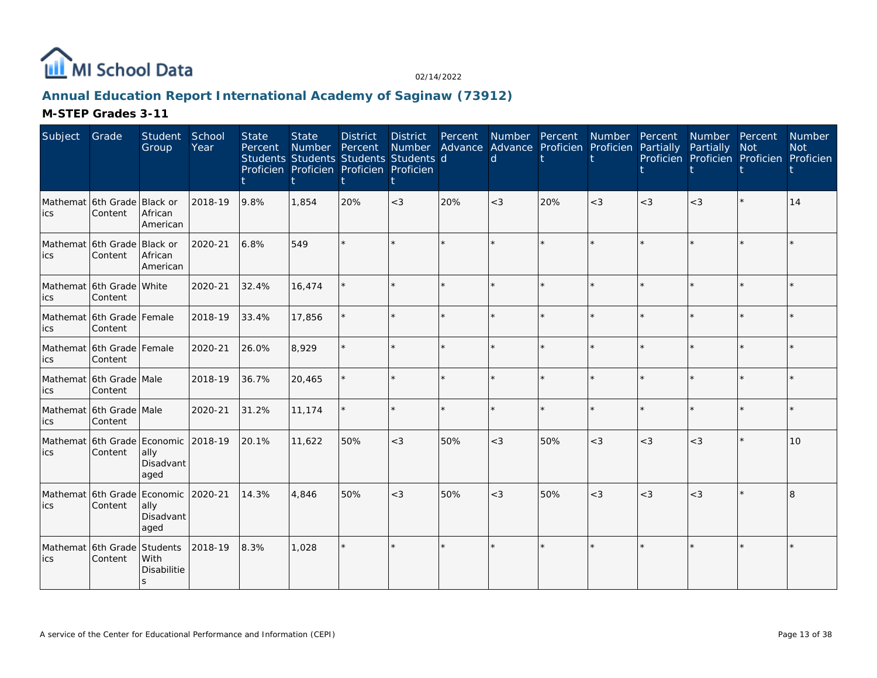

# **Annual Education Report International Academy of Saginaw (73912)**

| Subject                                     | Grade                                          | Student School<br>Group   | Year    | <b>State</b><br>Percent | <b>State</b><br>Number Percent | <b>District</b><br>Students Students Students Students d<br>Proficien Proficien Proficien Proficien | District<br>Number | Percent | <sub>d</sub> | Number Percent Number Percent<br>Advance Advance Proficien Proficien Partially |       |       | Number Percent<br>Partially | <b>Not</b><br>Proficien Proficien Proficien Proficien | Number<br><b>Not</b> |
|---------------------------------------------|------------------------------------------------|---------------------------|---------|-------------------------|--------------------------------|-----------------------------------------------------------------------------------------------------|--------------------|---------|--------------|--------------------------------------------------------------------------------|-------|-------|-----------------------------|-------------------------------------------------------|----------------------|
| Mathemat 6th Grade Black or<br>lics         | Content                                        | African<br>American       | 2018-19 | 9.8%                    | 1.854                          | 20%                                                                                                 | $<$ 3              | 20%     | $<$ 3        | 20%                                                                            | $<$ 3 | $<$ 3 | $<$ 3                       |                                                       | 14                   |
| Mathemat 6th Grade Black or<br>ics          | Content                                        | African<br>American       | 2020-21 | 6.8%                    | 549                            |                                                                                                     |                    |         |              |                                                                                |       |       |                             |                                                       |                      |
| Mathemat 6th Grade White<br>lics            | Content                                        |                           | 2020-21 | 32.4%                   | 16,474                         |                                                                                                     |                    |         |              |                                                                                |       |       |                             |                                                       |                      |
| Mathemat 6th Grade Female<br>lics           | Content                                        |                           | 2018-19 | 33.4%                   | 17,856                         |                                                                                                     |                    |         |              |                                                                                |       |       |                             |                                                       |                      |
| ics                                         | Mathemat 6th Grade Female<br>Content           |                           | 2020-21 | 26.0%                   | 8,929                          |                                                                                                     |                    |         |              |                                                                                |       |       |                             |                                                       |                      |
| ics                                         | Mathemat 6th Grade Male<br>Content             |                           | 2018-19 | 36.7%                   | 20,465                         |                                                                                                     |                    |         |              |                                                                                |       |       |                             |                                                       |                      |
| ics                                         | Mathemat 6th Grade Male<br>Content             |                           | 2020-21 | 31.2%                   | 11,174                         |                                                                                                     |                    |         |              |                                                                                |       |       |                             |                                                       |                      |
| lics                                        | Mathemat 6th Grade Economic 2018-19<br>Content | ally<br>Disadvant<br>aged |         | 20.1%                   | 11,622                         | 50%                                                                                                 | $<$ 3              | 50%     | $<$ 3        | 50%                                                                            | $<$ 3 | $<$ 3 | $<$ 3                       | $\star$                                               | 10                   |
| Mathemat 6th Grade Economic 2020-21<br>lics | Content                                        | ally<br>Disadvant<br>aged |         | 14.3%                   | 4,846                          | 50%                                                                                                 | $<$ 3              | 50%     | $<$ 3        | 50%                                                                            | $<$ 3 | $<$ 3 | $<$ 3                       |                                                       |                      |
| Mathemat 6th Grade Students<br>lics         | Content                                        | With<br>Disabilitie       | 2018-19 | 8.3%                    | 1,028                          |                                                                                                     |                    |         |              |                                                                                |       |       |                             |                                                       |                      |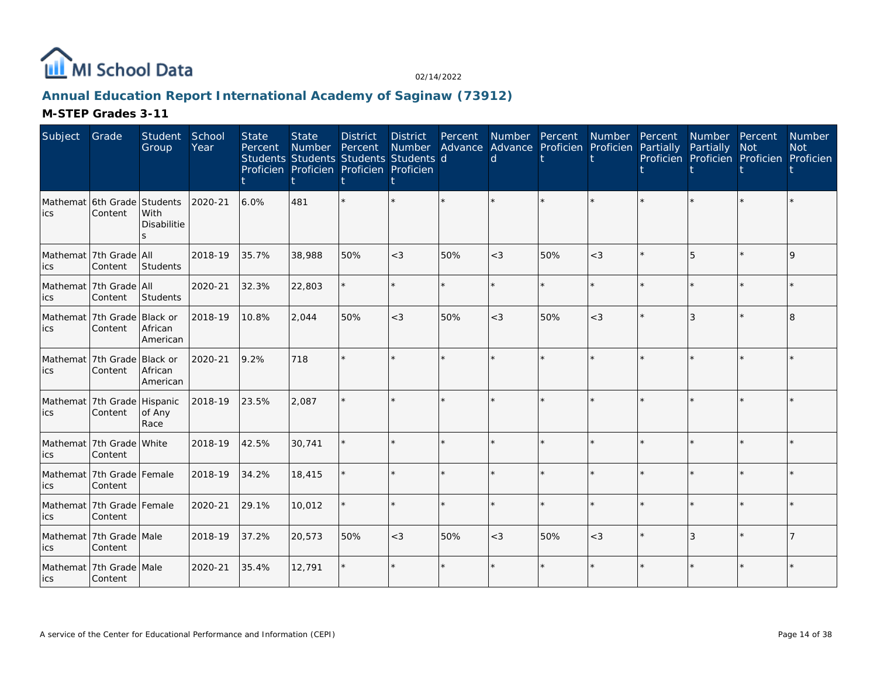

# **Annual Education Report International Academy of Saginaw (73912)**

| Subject | Grade                                  | Student<br>Group                | School<br>Year | <b>State</b><br>Percent | <b>State</b><br><b>Number</b><br>Students Students Students Students d<br>Proficien Proficien Proficien Proficien | <b>District</b><br>Percent | <b>District</b><br>Number | Percent | Advance Advance Proficien Proficien Partially<br>d | Number Percent | Number Percent | Number Percent<br>Partially<br>Proficien Proficien Proficien Proficien | <b>Not</b> | Number<br><b>Not</b> |
|---------|----------------------------------------|---------------------------------|----------------|-------------------------|-------------------------------------------------------------------------------------------------------------------|----------------------------|---------------------------|---------|----------------------------------------------------|----------------|----------------|------------------------------------------------------------------------|------------|----------------------|
| lics    | Mathemat 6th Grade<br>Content          | Students<br>With<br>Disabilitie | 2020-21        | 6.0%                    | 481                                                                                                               |                            |                           |         |                                                    |                |                |                                                                        |            |                      |
| ics     | Mathemat 7th Grade All<br>Content      | Students                        | 2018-19        | 35.7%                   | 38,988                                                                                                            | 50%                        | $<$ 3                     | 50%     | $<$ 3                                              | 50%            | $<$ 3          | 5                                                                      | $\star$    | $\mathsf Q$          |
| ics     | Mathemat 7th Grade All<br>Content      | Students                        | 2020-21        | 32.3%                   | 22,803                                                                                                            |                            | $\star$                   | $\star$ | ÷                                                  |                | $\star$        |                                                                        | $\star$    |                      |
| ics     | Mathemat 7th Grade Black or<br>Content | African<br>American             | 2018-19        | 10.8%                   | 2,044                                                                                                             | 50%                        | $<$ 3                     | 50%     | $<$ 3                                              | 50%            | $<$ 3          | 3                                                                      | $\star$    | 8                    |
| lics    | Mathemat 7th Grade Black or<br>Content | African<br>American             | 2020-21        | 9.2%                    | 718                                                                                                               |                            |                           |         |                                                    |                |                |                                                                        |            |                      |
| ics     | Mathemat 7th Grade Hispanic<br>Content | of Any<br>Race                  | 2018-19        | 23.5%                   | 2,087                                                                                                             |                            |                           |         |                                                    |                |                |                                                                        |            |                      |
| ics     | Mathemat 7th Grade White<br>Content    |                                 | 2018-19        | 42.5%                   | 30,741                                                                                                            |                            |                           |         |                                                    |                |                |                                                                        | $\star$    |                      |
| ics     | Mathemat 7th Grade Female<br>Content   |                                 | 2018-19        | 34.2%                   | 18,415                                                                                                            |                            |                           | $\star$ | $\star$                                            |                | $\star$        |                                                                        | $\star$    |                      |
| ics     | Mathemat 7th Grade Female<br>Content   |                                 | 2020-21        | 29.1%                   | 10,012                                                                                                            |                            |                           | $\star$ |                                                    |                | $\star$        |                                                                        | ÷          |                      |
| ics     | Mathemat 7th Grade Male<br>Content     |                                 | 2018-19        | 37.2%                   | 20,573                                                                                                            | 50%                        | $<$ 3                     | 50%     | $<$ 3                                              | 50%            | $<$ 3          | 3                                                                      | $\star$    |                      |
| lics    | Mathemat 7th Grade Male<br>Content     |                                 | 2020-21        | 35.4%                   | 12,791                                                                                                            |                            |                           |         |                                                    |                |                |                                                                        |            |                      |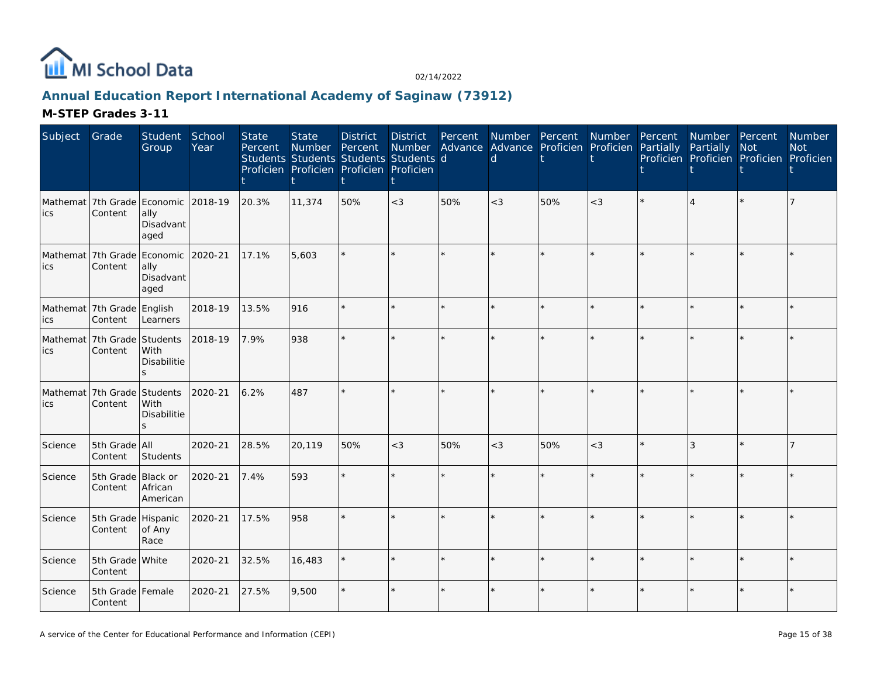

# **Annual Education Report International Academy of Saginaw (73912)**

| Subject | Grade                                          | Student<br>Group          | School<br>Year | <b>State</b><br>Percent | <b>State</b><br>Number | <b>District</b><br>Percent<br>Students Students Students Students d<br>Proficien Proficien Proficien Proficien | <b>District</b><br>t | Percent | Number Advance Advance Proficien Proficien Partially<br>d | Number Percent Number Percent |         |         | Number Percent<br>Partially<br>Proficien Proficien Proficien Proficien | Not     | Number<br><b>Not</b> |
|---------|------------------------------------------------|---------------------------|----------------|-------------------------|------------------------|----------------------------------------------------------------------------------------------------------------|----------------------|---------|-----------------------------------------------------------|-------------------------------|---------|---------|------------------------------------------------------------------------|---------|----------------------|
| ics     | Mathemat 7th Grade Economic 2018-19<br>Content | ally<br>Disadvant<br>aged |                | 20.3%                   | 11,374                 | 50%                                                                                                            | $<$ 3                | 50%     | $<$ 3                                                     | 50%                           | $<$ 3   |         |                                                                        |         |                      |
| ics     | Mathemat 7th Grade Economic 2020-21<br>Content | ally<br>Disadvant<br>aged |                | 17.1%                   | 5,603                  |                                                                                                                |                      |         |                                                           |                               | $\star$ |         |                                                                        |         |                      |
| ics     | Mathemat 7th Grade English<br>Content          | Learners                  | 2018-19        | 13.5%                   | 916                    |                                                                                                                | ÷.                   |         |                                                           |                               | ÷.      |         |                                                                        | ÷       |                      |
| ics     | Mathemat 7th Grade Students<br>Content         | With<br>Disabilitie<br>S  | 2018-19        | 7.9%                    | 938                    |                                                                                                                | $\star$              |         |                                                           |                               | ÷.      |         |                                                                        | ÷       |                      |
| ics     | Mathemat 7th Grade Students<br>Content         | With<br>Disabilitie<br>S  | 2020-21        | 6.2%                    | 487                    |                                                                                                                | $\star$              | ÷.      |                                                           |                               | $\star$ |         |                                                                        | $\star$ |                      |
| Science | 5th Grade All<br>Content                       | Students                  | 2020-21        | 28.5%                   | 20,119                 | 50%                                                                                                            | $<\!3$               | 50%     | $<$ 3                                                     | 50%                           | $<$ 3   |         | 3                                                                      |         |                      |
| Science | 5th Grade Black or<br>Content                  | African<br>American       | 2020-21        | 7.4%                    | 593                    |                                                                                                                | $\star$              | ÷.      |                                                           |                               | ÷.      |         |                                                                        | $\star$ |                      |
| Science | 5th Grade Hispanic<br>Content                  | of Any<br>Race            | 2020-21        | 17.5%                   | 958                    |                                                                                                                | ÷.                   |         |                                                           |                               | ÷.      |         |                                                                        | ÷       |                      |
| Science | 5th Grade White<br>Content                     |                           | 2020-21        | 32.5%                   | 16,483                 |                                                                                                                | $\star$              | ÷.      |                                                           |                               | ÷.      |         |                                                                        | $\star$ |                      |
| Science | 5th Grade Female<br>Content                    |                           | 2020-21        | 27.5%                   | 9,500                  |                                                                                                                | $\star$              |         | $\star$                                                   |                               | $\star$ | $\star$ |                                                                        | $\star$ |                      |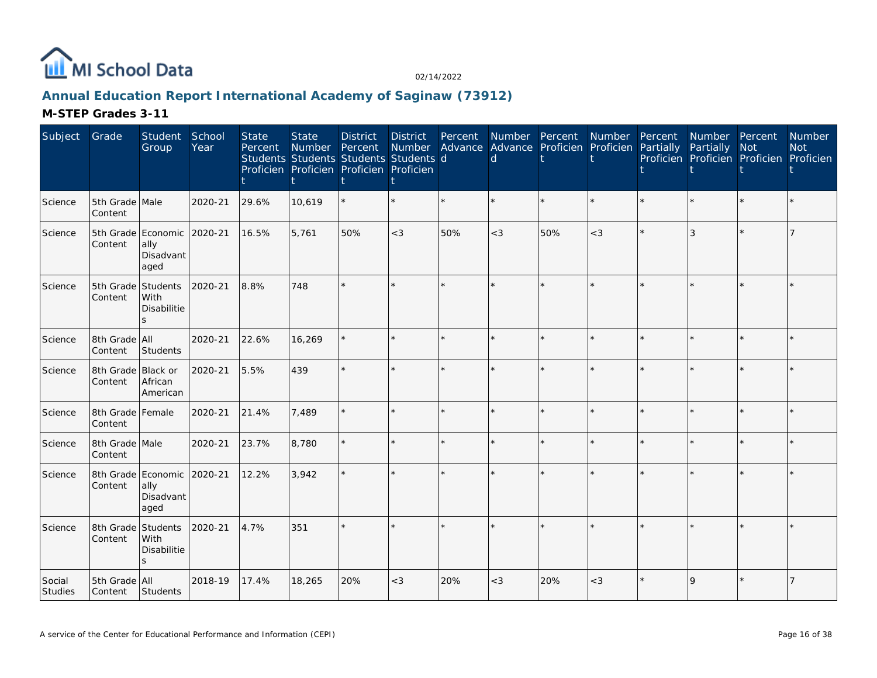

# **Annual Education Report International Academy of Saginaw (73912)**

| Subject           | Grade                                 | Student<br>Group                    | School<br>Year | <b>State</b><br>Percent | <b>State</b><br>Number | <b>District</b><br>Percent<br>Students Students Students Students d<br>Proficien Proficien Proficien Proficien | District<br>Number | Percent | d     | Number Percent Number<br>Advance Advance Proficien Proficien |         | Percent<br>Partially | Number Percent<br>Partially<br>Proficien Proficien Proficien Proficien | <b>Not</b> | Number<br><b>Not</b> |
|-------------------|---------------------------------------|-------------------------------------|----------------|-------------------------|------------------------|----------------------------------------------------------------------------------------------------------------|--------------------|---------|-------|--------------------------------------------------------------|---------|----------------------|------------------------------------------------------------------------|------------|----------------------|
| Science           | 5th Grade Male<br>Content             |                                     | 2020-21        | 29.6%                   | 10,619                 |                                                                                                                |                    | $\star$ |       | $\star$                                                      | $\star$ |                      |                                                                        | $\star$    |                      |
| Science           | 5th Grade Economic 2020-21<br>Content | ally<br>Disadvant<br>aged           |                | 16.5%                   | 5,761                  | 50%                                                                                                            | $<\!3$             | 50%     | $<$ 3 | 50%                                                          | $<$ 3   |                      |                                                                        |            |                      |
| Science           | 5th Grade Students<br>Content         | With<br>Disabilitie<br>$\mathbf{s}$ | 2020-21        | 8.8%                    | 748                    |                                                                                                                |                    | $\star$ |       | $\star$                                                      | ÷.      |                      |                                                                        | $\star$    |                      |
| Science           | 8th Grade All<br>Content              | Students                            | 2020-21        | 22.6%                   | 16,269                 |                                                                                                                |                    |         |       |                                                              | ÷.      |                      |                                                                        | ÷          |                      |
| Science           | 8th Grade Black or<br>Content         | African<br>American                 | 2020-21        | 5.5%                    | 439                    |                                                                                                                |                    |         |       | $\star$                                                      |         |                      |                                                                        | $\star$    |                      |
| Science           | 8th Grade Female<br>Content           |                                     | 2020-21        | 21.4%                   | 7,489                  |                                                                                                                |                    |         |       | $\star$                                                      |         |                      |                                                                        | ÷          |                      |
| Science           | 8th Grade Male<br>Content             |                                     | 2020-21        | 23.7%                   | 8,780                  |                                                                                                                |                    | $\star$ |       | $\star$                                                      | $\star$ |                      |                                                                        | $\star$    |                      |
| Science           | 8th Grade Economic 2020-21<br>Content | ally<br>Disadvant<br>aged           |                | 12.2%                   | 3.942                  |                                                                                                                |                    |         |       |                                                              |         |                      |                                                                        | ÷.         |                      |
| Science           | 8th Grade Students<br>Content         | With<br>Disabilitie                 | 2020-21        | 4.7%                    | 351                    |                                                                                                                |                    |         |       |                                                              |         |                      |                                                                        | $\star$    |                      |
| Social<br>Studies | 5th Grade All<br>Content              | Students                            | 2018-19        | 17.4%                   | 18,265                 | 20%                                                                                                            | $<$ 3              | 20%     | $<$ 3 | 20%                                                          | $<\!3$  |                      | $\overline{Q}$                                                         | $\star$    |                      |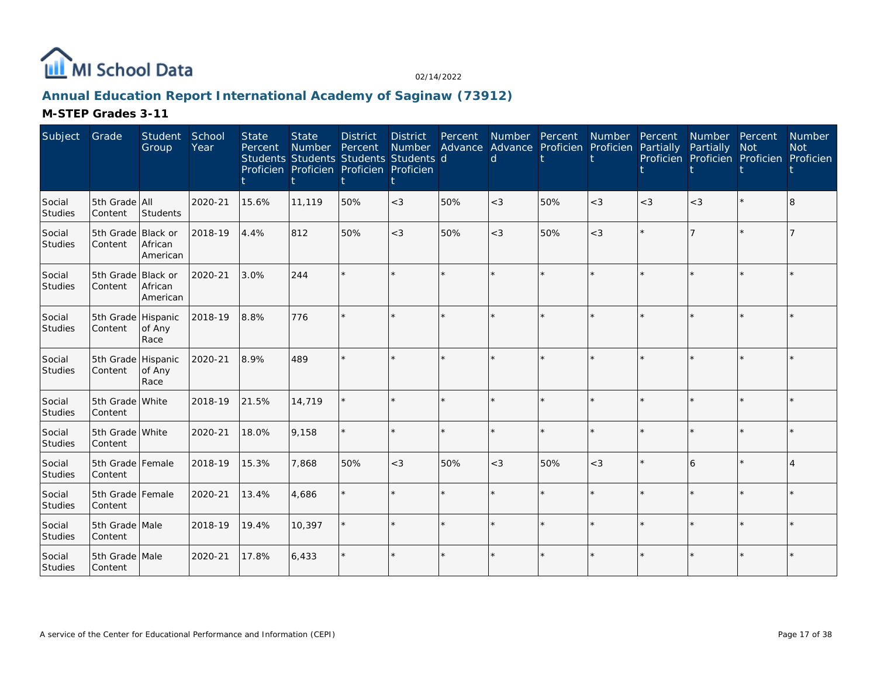

# **Annual Education Report International Academy of Saginaw (73912)**

| Subject                  | Grade                         | Student<br>Group    | School<br>Year | <b>State</b><br>Percent | <b>State</b><br>Number Percent<br>Students Students Students Students d<br>Proficien Proficien Proficien Proficien | <b>District</b> | District<br>Number | Percent | Number Percent<br>d |     | Number<br>Advance Advance Proficien Proficien Partially | Percent | Number Percent<br>Partially<br>Proficien Proficien Proficien Proficien | <b>Not</b> | Number<br><b>Not</b> |
|--------------------------|-------------------------------|---------------------|----------------|-------------------------|--------------------------------------------------------------------------------------------------------------------|-----------------|--------------------|---------|---------------------|-----|---------------------------------------------------------|---------|------------------------------------------------------------------------|------------|----------------------|
| Social<br><b>Studies</b> | 5th Grade All<br>Content      | Students            | 2020-21        | 15.6%                   | 11,119                                                                                                             | 50%             | $<\!3$             | 50%     | $<$ 3               | 50% | $<$ 3                                                   | $<$ 3   | $<$ 3                                                                  |            | 8                    |
| Social<br>Studies        | 5th Grade Black or<br>Content | African<br>American | 2018-19        | 4.4%                    | 812                                                                                                                | 50%             | $<$ 3              | 50%     | $<$ 3               | 50% | $<$ 3                                                   |         |                                                                        |            |                      |
| Social<br>Studies        | 5th Grade Black or<br>Content | African<br>American | 2020-21        | 3.0%                    | 244                                                                                                                |                 |                    |         |                     |     | ÷                                                       |         |                                                                        |            |                      |
| Social<br>Studies        | 5th Grade Hispanic<br>Content | of Any<br>Race      | 2018-19        | 8.8%                    | 776                                                                                                                |                 |                    |         |                     |     |                                                         |         |                                                                        |            |                      |
| Social<br>Studies        | 5th Grade Hispanic<br>Content | of Any<br>Race      | 2020-21        | 8.9%                    | 489                                                                                                                |                 |                    |         |                     |     |                                                         |         |                                                                        |            |                      |
| Social<br>Studies        | 5th Grade White<br>Content    |                     | 2018-19        | 21.5%                   | 14,719                                                                                                             |                 |                    |         |                     |     |                                                         |         |                                                                        |            |                      |
| Social<br>Studies        | 5th Grade White<br>Content    |                     | 2020-21        | 18.0%                   | 9,158                                                                                                              |                 |                    | $\star$ |                     |     | $\star$                                                 |         |                                                                        | ÷.         |                      |
| Social<br>Studies        | 5th Grade Female<br>Content   |                     | 2018-19        | 15.3%                   | 7,868                                                                                                              | 50%             | $<$ 3              | 50%     | $<$ 3               | 50% | $<$ 3                                                   |         | 6                                                                      |            |                      |
| Social<br>Studies        | 5th Grade Female<br>Content   |                     | 2020-21        | 13.4%                   | 4,686                                                                                                              |                 |                    | $\star$ | $\star$             |     | $\star$                                                 |         |                                                                        |            |                      |
| Social<br>Studies        | 5th Grade Male<br>Content     |                     | 2018-19        | 19.4%                   | 10,397                                                                                                             |                 |                    | $\star$ | ÷                   |     | $\star$                                                 |         |                                                                        | $\star$    |                      |
| Social<br>Studies        | 5th Grade Male<br>Content     |                     | 2020-21        | 17.8%                   | 6,433                                                                                                              |                 |                    |         |                     |     | $\star$                                                 |         |                                                                        |            |                      |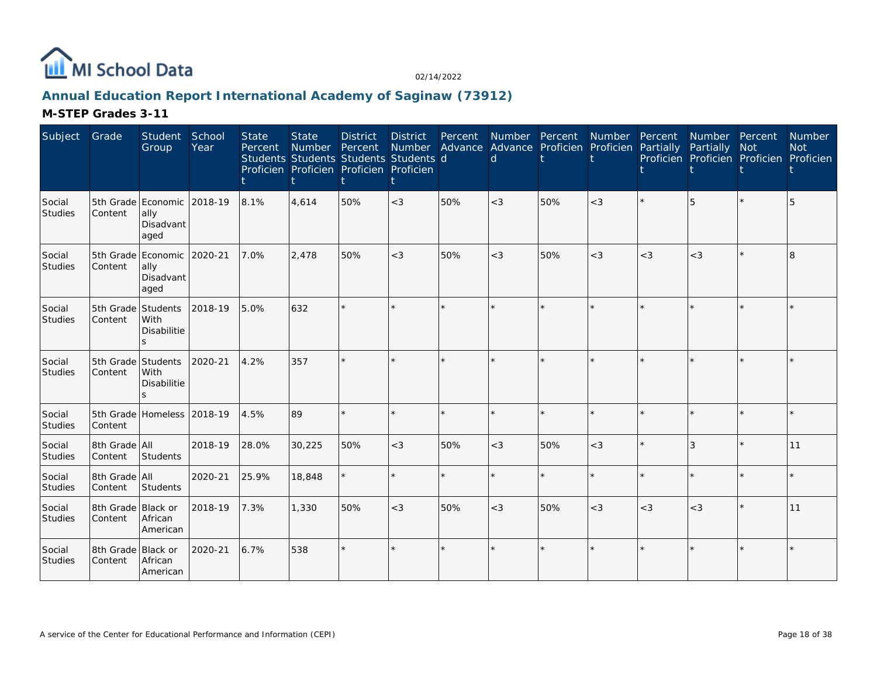

# **Annual Education Report International Academy of Saginaw (73912)**

| Subject           | Grade                         | Student<br>Group                                      | School<br>Year | <b>State</b><br>Percent | <b>State</b><br>Number | <b>District</b><br>Percent<br>Students Students Students Students d<br>Proficien Proficien Proficien Proficien | <b>District</b> | Percent | Number Advance Advance Proficien Proficien Partially<br>d | Number Percent | Number Percent |       | Number Percent<br>Partially | <b>Not</b><br>Proficien Proficien Proficien Proficien | Number<br><b>Not</b> |
|-------------------|-------------------------------|-------------------------------------------------------|----------------|-------------------------|------------------------|----------------------------------------------------------------------------------------------------------------|-----------------|---------|-----------------------------------------------------------|----------------|----------------|-------|-----------------------------|-------------------------------------------------------|----------------------|
| Social<br>Studies | Content                       | 5th Grade Economic<br>ally<br>Disadvant<br>aged       | 2018-19        | 8.1%                    | 4,614                  | 50%                                                                                                            | $<$ 3           | 50%     | $<$ 3                                                     | 50%            | $<\!3$         |       | 5                           |                                                       | 5                    |
| Social<br>Studies | Content                       | 5th Grade Economic<br>ally<br>Disadvant<br>aged       | 2020-21        | 7.0%                    | 2,478                  | 50%                                                                                                            | $<$ 3           | 50%     | $<$ 3                                                     | 50%            | $<$ 3          | $<$ 3 | $<$ 3                       | $\star$                                               | 8                    |
| Social<br>Studies | Content                       | 5th Grade Students<br><b>With</b><br>Disabilitie<br>S | 2018-19        | 5.0%                    | 632                    |                                                                                                                | ÷.              |         |                                                           |                | ÷.             |       |                             | $\star$                                               |                      |
| Social<br>Studies | 5th Grade Students<br>Content | With<br>Disabilitie<br><sub>S</sub>                   | 2020-21        | 4.2%                    | 357                    |                                                                                                                | $\star$         |         |                                                           |                |                |       |                             |                                                       |                      |
| Social<br>Studies | Content                       | 5th Grade Homeless 2018-19                            |                | 4.5%                    | 89                     |                                                                                                                | ÷.              | $\star$ |                                                           |                | $\star$        |       |                             |                                                       |                      |
| Social<br>Studies | 8th Grade All<br>Content      | Students                                              | 2018-19        | 28.0%                   | 30,225                 | 50%                                                                                                            | $<$ 3           | 50%     | $<$ 3                                                     | 50%            | $<$ 3          |       |                             | $\star$                                               | 11                   |
| Social<br>Studies | 8th Grade All<br>Content      | Students                                              | 2020-21        | 25.9%                   | 18,848                 |                                                                                                                | $\star$         | ÷.      |                                                           |                | $\star$        |       |                             |                                                       |                      |
| Social<br>Studies | 8th Grade Black or<br>Content | African<br>American                                   | 2018-19        | 7.3%                    | 1,330                  | 50%                                                                                                            | $<$ 3           | 50%     | $<$ 3                                                     | 50%            | $<$ 3          | $<$ 3 | $<$ 3                       | $\star$                                               | 11                   |
| Social<br>Studies | 8th Grade Black or<br>Content | African<br>American                                   | 2020-21        | 6.7%                    | 538                    | $\star$                                                                                                        | $\star$         |         |                                                           |                | $\star$        |       |                             |                                                       |                      |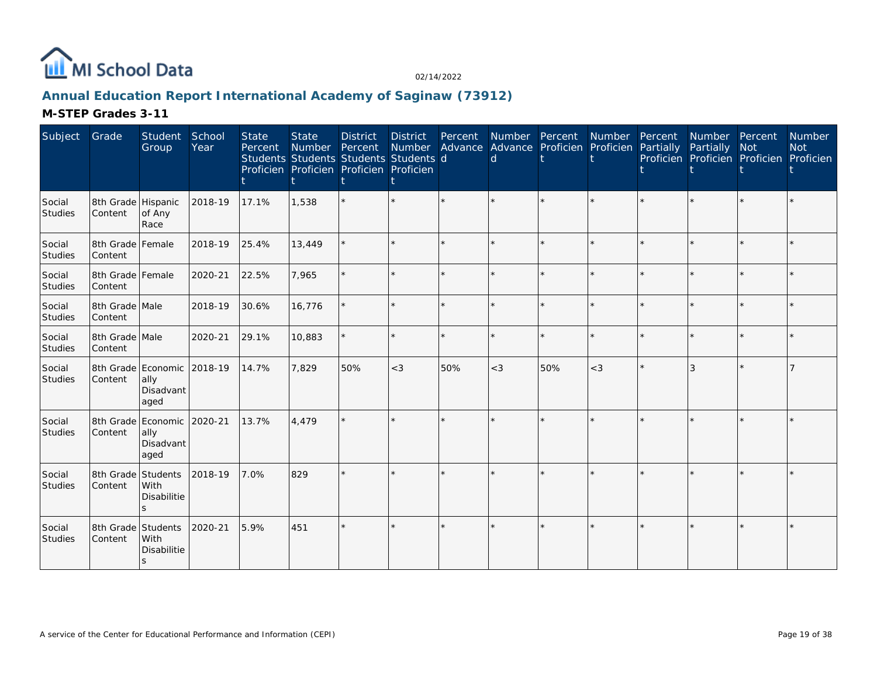

# **Annual Education Report International Academy of Saginaw (73912)**

| Subject           | Grade                                 | Student<br>Group                    | School<br>Year | <b>State</b><br>Percent | <b>State</b><br>Number Percent<br>Students Students Students Students d<br>Proficien Proficien Proficien Proficien | <b>District</b> | <b>District</b> | Percent | d     | Number Percent<br>Number Advance Advance Proficien Proficien | Number  | Percent<br>Partially | Number Percent<br>Partially | <b>Not</b><br>Proficien Proficien Proficien Proficien | <b>Number</b><br><b>Not</b> |
|-------------------|---------------------------------------|-------------------------------------|----------------|-------------------------|--------------------------------------------------------------------------------------------------------------------|-----------------|-----------------|---------|-------|--------------------------------------------------------------|---------|----------------------|-----------------------------|-------------------------------------------------------|-----------------------------|
| Social<br>Studies | 8th Grade Hispanic<br>Content         | of Any<br>Race                      | 2018-19        | 17.1%                   | 1,538                                                                                                              |                 |                 |         |       |                                                              |         |                      |                             |                                                       |                             |
| Social<br>Studies | 8th Grade Female<br>Content           |                                     | 2018-19        | 25.4%                   | 13,449                                                                                                             |                 |                 |         |       |                                                              |         |                      |                             |                                                       |                             |
| Social<br>Studies | 8th Grade Female<br>Content           |                                     | 2020-21        | 22.5%                   | 7,965                                                                                                              |                 |                 |         |       |                                                              | ÷.      |                      |                             | $\star$                                               |                             |
| Social<br>Studies | 8th Grade Male<br>Content             |                                     | 2018-19        | 30.6%                   | 16,776                                                                                                             |                 |                 |         |       |                                                              |         |                      |                             | $\star$                                               |                             |
| Social<br>Studies | 8th Grade Male<br>Content             |                                     | 2020-21        | 29.1%                   | 10,883                                                                                                             |                 |                 | ÷.      |       |                                                              | $\star$ |                      |                             | $\star$                                               |                             |
| Social<br>Studies | 8th Grade Economic<br>Content         | ally<br>Disadvant<br>aged           | 2018-19        | 14.7%                   | 7,829                                                                                                              | 50%             | $<$ 3           | 50%     | $<$ 3 | 50%                                                          | $<$ 3   |                      | 3                           | $\star$                                               |                             |
| Social<br>Studies | 8th Grade Economic 2020-21<br>Content | ally<br>Disadvant<br>aged           |                | 13.7%                   | 4,479                                                                                                              |                 |                 |         |       |                                                              |         |                      |                             |                                                       |                             |
| Social<br>Studies | 8th Grade Students<br>Content         | With<br>Disabilitie<br>$\mathbf{S}$ | 2018-19        | 7.0%                    | 829                                                                                                                |                 |                 |         |       |                                                              |         |                      |                             |                                                       |                             |
| Social<br>Studies | 8th Grade Students<br>Content         | With<br>Disabilitie<br>S            | 2020-21        | 5.9%                    | 451                                                                                                                |                 |                 |         |       |                                                              |         |                      |                             |                                                       |                             |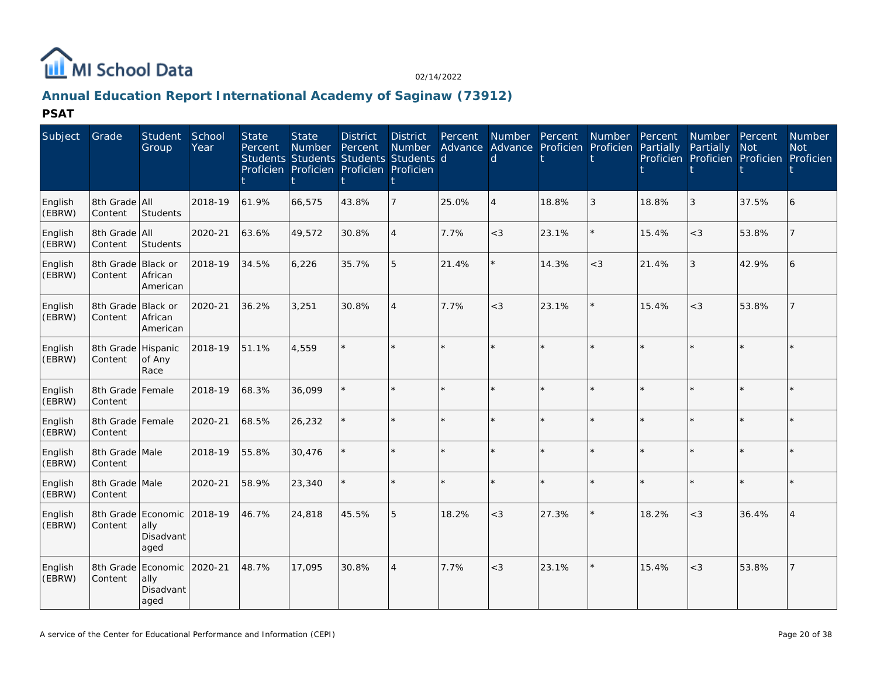

# **Annual Education Report International Academy of Saginaw (73912)**

**PSAT**

| Subject           | Grade                         | <b>Student</b><br>Group                         | School<br>Year | <b>State</b><br>Percent | <b>State</b><br>Number<br>Students Students Students Students d<br>Proficien Proficien Proficien Proficien | <b>District</b><br>Percent | <b>District</b><br>Number | Percent | Number Percent<br>d | Advance Advance Proficien Proficien | Number  | Percent<br>Partially | <b>Number</b><br>Partially | Percent<br>Not<br>Proficien Proficien Proficien Proficien | <b>Number</b><br><b>Not</b> |
|-------------------|-------------------------------|-------------------------------------------------|----------------|-------------------------|------------------------------------------------------------------------------------------------------------|----------------------------|---------------------------|---------|---------------------|-------------------------------------|---------|----------------------|----------------------------|-----------------------------------------------------------|-----------------------------|
| English<br>(EBRW) | 8th Grade All<br>Content      | Students                                        | 2018-19        | 61.9%                   | 66,575                                                                                                     | 43.8%                      | $\overline{7}$            | 25.0%   | $\overline{4}$      | 18.8%                               | 3       | 18.8%                | 3                          | 37.5%                                                     | 6                           |
| English<br>(EBRW) | 8th Grade All<br>Content      | Students                                        | 2020-21        | 63.6%                   | 49,572                                                                                                     | 30.8%                      | $\overline{4}$            | 7.7%    | $<$ 3               | 23.1%                               |         | 15.4%                | $<$ 3                      | 53.8%                                                     |                             |
| English<br>(EBRW) | 8th Grade Black or<br>Content | African<br>American                             | 2018-19        | 34.5%                   | 6,226                                                                                                      | 35.7%                      | 5                         | 21.4%   |                     | 14.3%                               | $<$ 3   | 21.4%                | $\mathfrak{Z}$             | 42.9%                                                     | 6                           |
| English<br>(EBRW) | 8th Grade Black or<br>Content | African<br>American                             | 2020-21        | 36.2%                   | 3.251                                                                                                      | 30.8%                      | $\overline{4}$            | 7.7%    | $<$ 3               | 23.1%                               | $\star$ | 15.4%                | $<$ 3                      | 53.8%                                                     |                             |
| English<br>(EBRW) | 8th Grade Hispanic<br>Content | of Any<br>Race                                  | 2018-19        | 51.1%                   | 4,559                                                                                                      |                            | $\star$                   | $\star$ |                     |                                     |         |                      |                            | $\star$                                                   |                             |
| English<br>(EBRW) | 8th Grade Female<br>Content   |                                                 | 2018-19        | 68.3%                   | 36,099                                                                                                     |                            | $\star$                   |         |                     |                                     |         |                      |                            | $\star$                                                   |                             |
| English<br>(EBRW) | 8th Grade Female<br>Content   |                                                 | 2020-21        | 68.5%                   | 26,232                                                                                                     |                            | $\star$                   |         |                     |                                     |         |                      |                            | $\star$                                                   |                             |
| English<br>(EBRW) | 8th Grade Male<br>Content     |                                                 | 2018-19        | 55.8%                   | 30,476                                                                                                     |                            | $\star$                   |         | ÷                   |                                     |         | ý,                   |                            | $\star$                                                   |                             |
| English<br>(EBRW) | 8th Grade Male<br>Content     |                                                 | 2020-21        | 58.9%                   | 23,340                                                                                                     |                            | $\star$                   | $\Phi$  |                     |                                     |         |                      |                            | $\star$                                                   |                             |
| English<br>(EBRW) | Content                       | 8th Grade Economic<br>ally<br>Disadvant<br>aged | 2018-19        | 46.7%                   | 24,818                                                                                                     | 45.5%                      | 5                         | 18.2%   | $<$ 3               | 27.3%                               |         | 18.2%                | $<$ 3                      | 36.4%                                                     |                             |
| English<br>(EBRW) | Content                       | 8th Grade Economic<br>ally<br>Disadvant<br>aged | 2020-21        | 48.7%                   | 17,095                                                                                                     | 30.8%                      | $\overline{4}$            | 7.7%    | $<$ 3               | 23.1%                               |         | 15.4%                | $<\!3$                     | 53.8%                                                     |                             |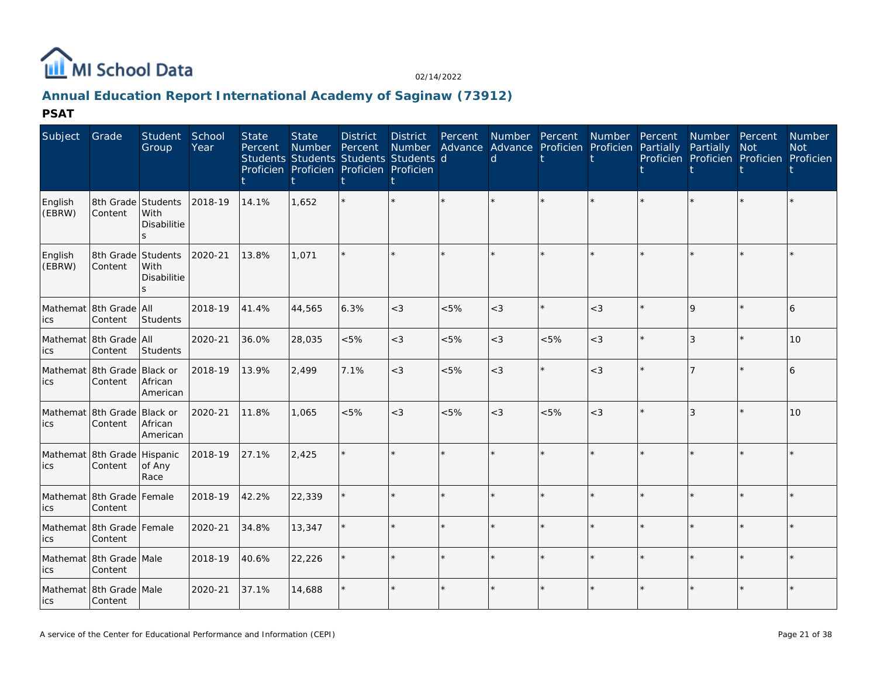

# **Annual Education Report International Academy of Saginaw (73912)**

**PSAT**

| Subject           | Grade                                  | Student<br>Group                   | School<br>Year | <b>State</b><br>Percent | <b>State</b><br><b>Number</b> | <b>District</b><br>Percent<br>Students Students Students Students d<br>Proficien Proficien Proficien Proficien | <b>District</b> | Percent | <b>Number</b><br>d | Percent<br>Number Advance Advance Proficien Proficien Partially | Number  | Percent | Number Percent<br>Partially<br>Proficien Proficien Proficien Proficien | <b>Not</b> | Number<br><b>Not</b> |
|-------------------|----------------------------------------|------------------------------------|----------------|-------------------------|-------------------------------|----------------------------------------------------------------------------------------------------------------|-----------------|---------|--------------------|-----------------------------------------------------------------|---------|---------|------------------------------------------------------------------------|------------|----------------------|
| English<br>(EBRW) | 8th Grade Students<br>Content          | With<br>Disabilitie<br>ls.         | 2018-19        | 14.1%                   | 1,652                         |                                                                                                                |                 |         |                    |                                                                 |         |         |                                                                        |            |                      |
| English<br>(EBRW) | 8th Grade Students<br>Content          | With<br>Disabilitie<br>$\varsigma$ | 2020-21        | 13.8%                   | 1.071                         |                                                                                                                |                 |         |                    |                                                                 |         |         |                                                                        |            |                      |
| ics               | Mathemat 8th Grade All<br>Content      | Students                           | 2018-19        | 41.4%                   | 44,565                        | 6.3%                                                                                                           | $<$ 3           | $<5\%$  | $\lt3$             |                                                                 | $<$ 3   |         | 9                                                                      | $\star$    | 6                    |
| ics               | Mathemat 8th Grade All<br>Content      | Students                           | 2020-21        | 36.0%                   | 28,035                        | &5%                                                                                                            | $<$ 3           | $<5\%$  | $\lt$ 3            | < 5%                                                            | $<$ 3   |         | 3                                                                      | ÷          | 10                   |
| ics               | Mathemat 8th Grade Black or<br>Content | African<br>American                | 2018-19        | 13.9%                   | 2,499                         | 7.1%                                                                                                           | $<$ 3           | < 5%    | $\lt$ 3            |                                                                 | $<$ 3   |         |                                                                        | $\star$    | 6                    |
| ics               | Mathemat 8th Grade Black or<br>Content | African<br>American                | 2020-21        | 11.8%                   | 1,065                         | &5%                                                                                                            | $<$ 3           | $<5\%$  | $<$ 3              | $<5\%$                                                          | $<$ 3   |         | $\overline{3}$                                                         | $\star$    | 10                   |
| ics               | Mathemat 8th Grade Hispanic<br>Content | of Any<br>Race                     | 2018-19        | 27.1%                   | 2,425                         |                                                                                                                | ÷.              | ÷.      |                    |                                                                 | $\star$ |         |                                                                        |            |                      |
| ics               | Mathemat 8th Grade Female<br>Content   |                                    | 2018-19        | 42.2%                   | 22,339                        |                                                                                                                | $\star$         | $\star$ |                    |                                                                 | $\star$ |         |                                                                        | ÷          |                      |
| ics               | Mathemat 8th Grade Female<br>Content   |                                    | 2020-21        | 34.8%                   | 13,347                        |                                                                                                                | $\star$         |         |                    |                                                                 |         |         |                                                                        | ÷          |                      |
| ics               | Mathemat 8th Grade Male<br>Content     |                                    | 2018-19        | 40.6%                   | 22,226                        |                                                                                                                | $\star$         | $\star$ |                    |                                                                 | $\star$ |         |                                                                        | $\star$    |                      |
| lics              | Mathemat 8th Grade Male<br>Content     |                                    | 2020-21        | 37.1%                   | 14,688                        |                                                                                                                | $\star$         |         |                    |                                                                 |         |         |                                                                        | $\star$    |                      |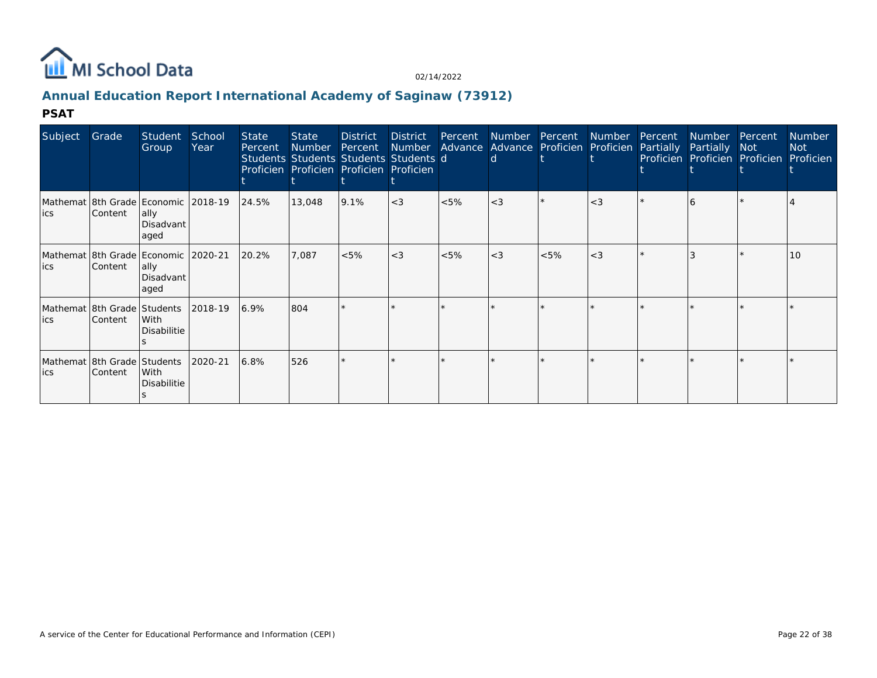

# **Annual Education Report International Academy of Saginaw (73912)**

#### **PSAT**

| Subject | Grade                                   | Student<br>Group                                                  | School<br>Year | <b>State</b><br>Percent | <b>State</b><br>Number Percent<br>Students Students Students Students d<br>Proficien Proficien Proficien Proficien | <b>District</b> | District | Percent Number | Number Advance Advance Proficien Proficien Partially<br><sub>d</sub> | Percent Number |       | Percent | Number Percent<br>Partially Not<br>Proficien Proficien Proficien Proficien | <b>Number</b><br>Not |
|---------|-----------------------------------------|-------------------------------------------------------------------|----------------|-------------------------|--------------------------------------------------------------------------------------------------------------------|-----------------|----------|----------------|----------------------------------------------------------------------|----------------|-------|---------|----------------------------------------------------------------------------|----------------------|
| lics    | Content                                 | Mathemat 8th Grade Economic 2018-19<br>ally.<br>Disadvant<br>aged |                | 24.5%                   | 13,048                                                                                                             | 9.1%            | $<$ 3    | $<5\%$         | $<$ 3                                                                |                | $<$ 3 |         |                                                                            |                      |
| lics    | Content                                 | Mathemat 8th Grade Economic 2020-21<br> ally<br>Disadvant<br>aged |                | 20.2%                   | 7,087                                                                                                              | $< 5\%$         | $<$ 3    | $< 5\%$        | $<$ 3                                                                | $< 5\%$        | $<$ 3 |         |                                                                            | 10                   |
| ics     | Mathemat 8th Grade Students<br>Content  | With<br>Disabilitie                                               | 2018-19        | 6.9%                    | 804                                                                                                                |                 | $\star$  |                |                                                                      | $\star$        |       |         |                                                                            |                      |
| lics    | Mathemat 18th Grade Students<br>Content | With<br>Disabilitie                                               | 2020-21        | 6.8%                    | 526                                                                                                                |                 | ÷        |                |                                                                      |                |       |         |                                                                            |                      |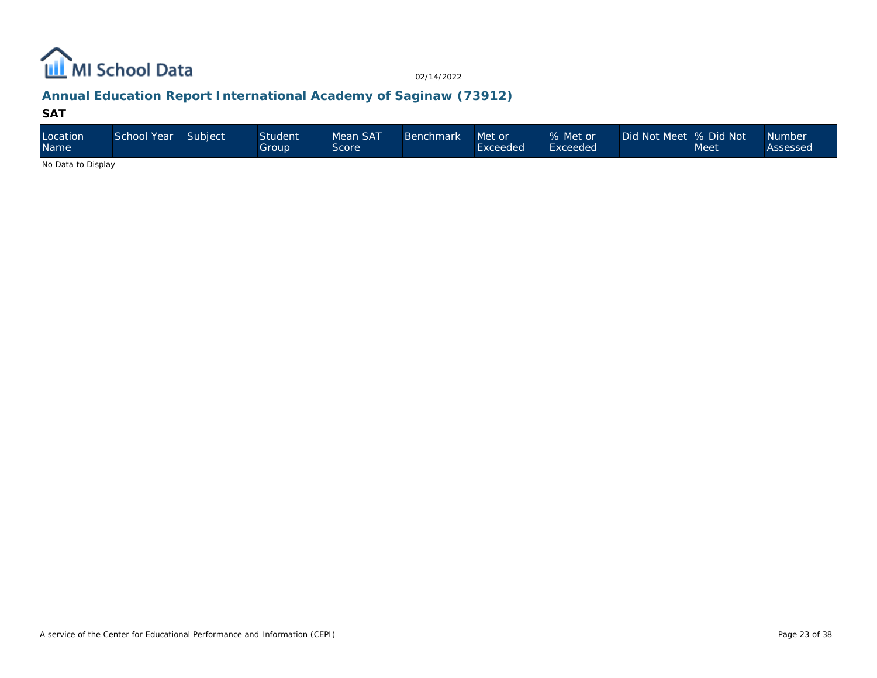

# **Annual Education Report International Academy of Saginaw (73912)**

#### **SAT**

| Location<br><b>Name</b> | School Year | Subject | <b>Student</b><br>Group | Mean SAT<br>Score' | Benchmark | Met or<br>Exceeded | % Met or<br>Exceeded | Did Not Meet % Did Not | Meet | <b>Number</b><br>Assessed |
|-------------------------|-------------|---------|-------------------------|--------------------|-----------|--------------------|----------------------|------------------------|------|---------------------------|
| .                       |             |         |                         |                    |           |                    |                      |                        |      |                           |

No Data to Display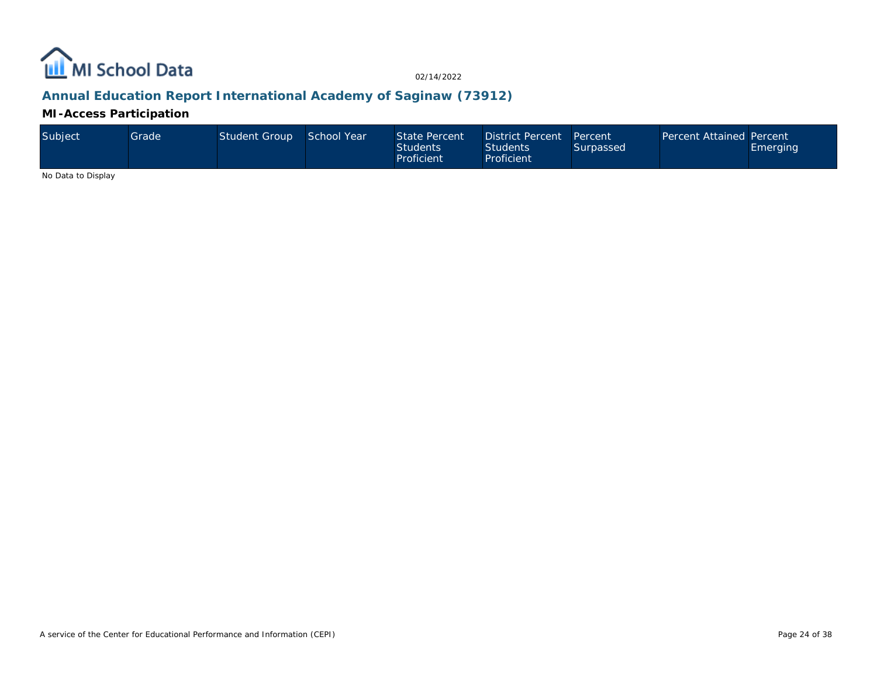

# **Annual Education Report International Academy of Saginaw (73912)**

**MI-Access Participation**

| Subject | Grade | Student Group | School Year | State Percent<br><b>Students</b><br>Proficient | District Percent Percent<br><b>Students</b><br>Proficient | Surpassed | Percent Attained Percent | Emerging |
|---------|-------|---------------|-------------|------------------------------------------------|-----------------------------------------------------------|-----------|--------------------------|----------|
|---------|-------|---------------|-------------|------------------------------------------------|-----------------------------------------------------------|-----------|--------------------------|----------|

No Data to Display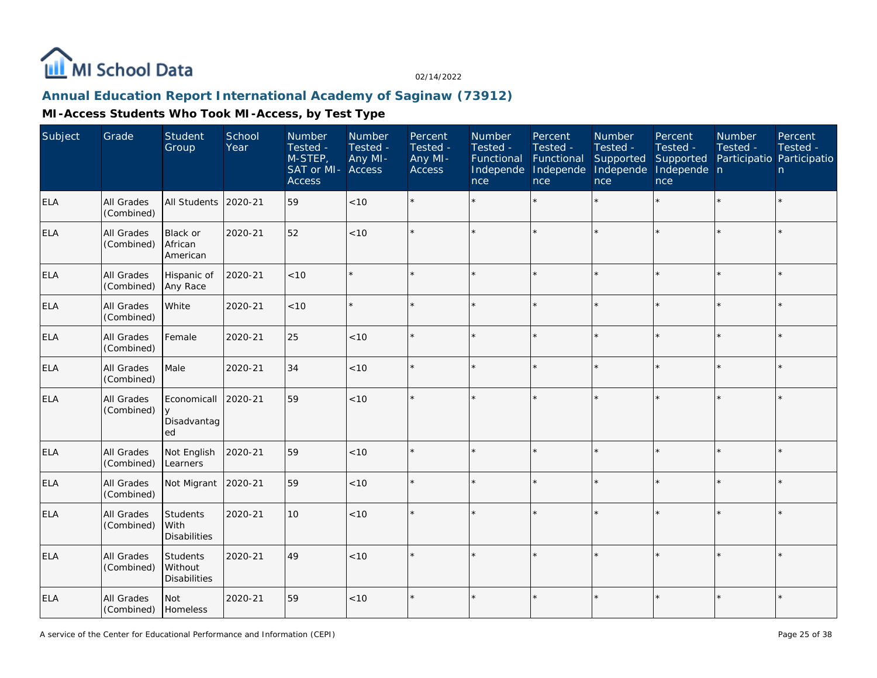

# **Annual Education Report International Academy of Saginaw (73912)**

| Subject    | Grade                           | <b>Student</b><br>Group                      | School<br>Year | Number<br>Tested -<br>M-STEP,<br>SAT or MI-<br>Access | Number<br>Tested -<br>Any MI-<br>Access | Percent<br>Tested -<br>Any MI-<br>Access | Number<br>Tested -<br>Functional<br>Independe<br>nce | Percent<br>Tested -<br>Functional<br>Independe<br>nce | Number<br>Tested -<br>Supported<br>Independe<br>nce | Percent<br>Tested -<br>Supported<br>Independe n<br>nce | Number<br>Tested -<br>Participatio Participatio | Percent<br>Tested -<br>n |
|------------|---------------------------------|----------------------------------------------|----------------|-------------------------------------------------------|-----------------------------------------|------------------------------------------|------------------------------------------------------|-------------------------------------------------------|-----------------------------------------------------|--------------------------------------------------------|-------------------------------------------------|--------------------------|
| <b>ELA</b> | All Grades<br>(Combined)        | All Students                                 | 2020-21        | 59                                                    | < 10                                    |                                          |                                                      | $\star$                                               | ÷.                                                  | $\star$                                                | $\star$                                         | $\star$                  |
| ELA        | All Grades<br>(Combined)        | Black or<br>African<br>American              | 2020-21        | 52                                                    | < 10                                    |                                          |                                                      | $\star$                                               |                                                     | $\star$                                                |                                                 | $\star$                  |
| <b>ELA</b> | All Grades<br>(Combined)        | Hispanic of<br>Any Race                      | 2020-21        | $<10$                                                 | $\star$                                 |                                          |                                                      | $\star$                                               |                                                     | $\star$                                                | $\star$                                         | $\star$                  |
| <b>ELA</b> | All Grades<br>(Combined)        | White                                        | 2020-21        | < 10                                                  | $\star$                                 |                                          |                                                      | $\star$                                               | ÷                                                   | $\star$                                                |                                                 | $\star$                  |
| <b>ELA</b> | <b>All Grades</b><br>(Combined) | Female                                       | 2020-21        | 25                                                    | < 10                                    |                                          |                                                      | $\star$                                               |                                                     | $\star$                                                |                                                 | $\star$                  |
| <b>ELA</b> | All Grades<br>(Combined)        | Male                                         | 2020-21        | 34                                                    | < 10                                    |                                          |                                                      | $\star$                                               | $\star$                                             | $\star$                                                | $\star$                                         | $\star$                  |
| <b>ELA</b> | All Grades<br>(Combined)        | Economicall<br><b>V</b><br>Disadvantag<br>ed | 2020-21        | 59                                                    | < 10                                    |                                          |                                                      |                                                       |                                                     |                                                        |                                                 | $\star$                  |
| <b>ELA</b> | All Grades<br>(Combined)        | Not English<br>Learners                      | 2020-21        | 59                                                    | < 10                                    |                                          |                                                      | $\star$                                               |                                                     | $\star$                                                |                                                 | $\star$                  |
| <b>ELA</b> | All Grades<br>(Combined)        | Not Migrant                                  | 2020-21        | 59                                                    | $<10$                                   |                                          |                                                      | $\star$                                               |                                                     | $\star$                                                | $\star$                                         | $\star$                  |
| <b>ELA</b> | All Grades<br>(Combined)        | Students<br>With<br><b>Disabilities</b>      | 2020-21        | 10                                                    | $<10$                                   |                                          |                                                      | $\star$                                               |                                                     |                                                        |                                                 | $\star$                  |
| ELA        | <b>All Grades</b><br>(Combined) | Students<br>Without<br><b>Disabilities</b>   | 2020-21        | 49                                                    | < 10                                    |                                          |                                                      | $\star$                                               |                                                     |                                                        |                                                 | $\star$                  |
| ELA        | All Grades<br>(Combined)        | Not<br>Homeless                              | 2020-21        | 59                                                    | < 10                                    |                                          |                                                      | $\star$                                               | ÷                                                   | ÷                                                      | $\star$                                         | $\star$                  |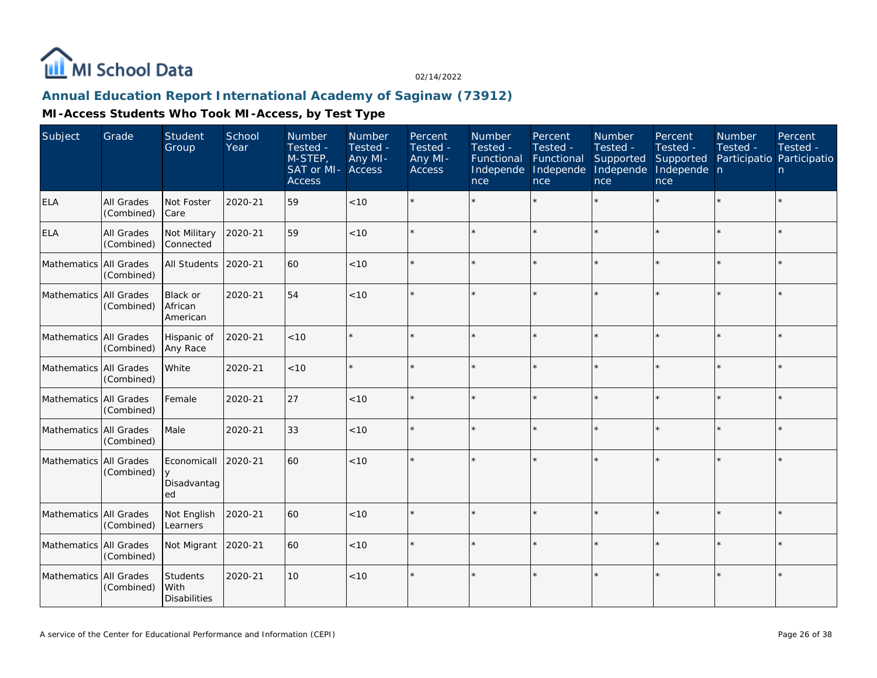

## **Annual Education Report International Academy of Saginaw (73912)**

| Subject                  | Grade                    | Student<br>Group                           | School<br>Year | <b>Number</b><br>Tested -<br>M-STEP,<br>SAT or MI-<br><b>Access</b> | Number<br>Tested -<br>Any MI-<br>Access | Percent<br>Tested -<br>Any MI-<br><b>Access</b> | Number<br>Tested -<br>Functional<br>Independe<br>nce | Percent<br>Tested -<br>Functional<br>Independe<br>nce | Number<br>Tested -<br>Supported<br>Independe<br>nce | Percent<br>Tested -<br>Supported<br>Independe n<br>nce | Number<br>Tested -<br>Participatio Participatio | Percent<br>Tested -<br>n. |
|--------------------------|--------------------------|--------------------------------------------|----------------|---------------------------------------------------------------------|-----------------------------------------|-------------------------------------------------|------------------------------------------------------|-------------------------------------------------------|-----------------------------------------------------|--------------------------------------------------------|-------------------------------------------------|---------------------------|
| ELA                      | All Grades<br>(Combined) | Not Foster<br> Care                        | 2020-21        | 59                                                                  | < 10                                    |                                                 |                                                      |                                                       |                                                     |                                                        |                                                 | $\star$                   |
| <b>ELA</b>               | All Grades<br>(Combined) | Not Military<br>Connected                  | 2020-21        | 59                                                                  | < 10                                    |                                                 |                                                      |                                                       |                                                     |                                                        |                                                 | $\star$                   |
| Mathematics All Grades   | (Combined)               | All Students                               | 2020-21        | 60                                                                  | $<10$                                   |                                                 |                                                      |                                                       |                                                     |                                                        |                                                 | $\star$                   |
| Mathematics              | All Grades<br>(Combined) | Black or<br>African<br>American            | 2020-21        | 54                                                                  | < 10                                    |                                                 |                                                      |                                                       |                                                     |                                                        |                                                 | $\star$                   |
| Mathematics All Grades   | (Combined)               | Hispanic of<br>Any Race                    | 2020-21        | < 10                                                                |                                         |                                                 |                                                      |                                                       |                                                     | $\star$                                                | $\star$                                         | $\star$                   |
| Mathematics   All Grades | (Combined)               | White                                      | 2020-21        | < 10                                                                |                                         |                                                 |                                                      |                                                       |                                                     |                                                        |                                                 | $\star$                   |
| Mathematics All Grades   | (Combined)               | Female                                     | 2020-21        | 27                                                                  | < 10                                    | $\star$                                         |                                                      |                                                       |                                                     |                                                        |                                                 | $\star$                   |
| Mathematics All Grades   | (Combined)               | Male                                       | 2020-21        | 33                                                                  | $<10$                                   |                                                 |                                                      |                                                       |                                                     |                                                        |                                                 | $\star$                   |
| Mathematics All Grades   | (Combined)               | Economicall<br>$\vee$<br>Disadvantag<br>ed | 2020-21        | 60                                                                  | < 10                                    |                                                 |                                                      |                                                       |                                                     |                                                        |                                                 | $\star$                   |
| Mathematics All Grades   | (Combined)               | Not English<br>Learners                    | 2020-21        | 60                                                                  | < 10                                    | $\star$                                         |                                                      |                                                       |                                                     |                                                        | $\star$                                         | $\star$                   |
| Mathematics All Grades   | (Combined)               | Not Migrant                                | 2020-21        | 60                                                                  | $<10$                                   |                                                 |                                                      |                                                       |                                                     |                                                        |                                                 | $\star$                   |
| Mathematics All Grades   | (Combined)               | Students<br>With<br><b>Disabilities</b>    | 2020-21        | 10                                                                  | < 10                                    | $\star$                                         |                                                      |                                                       |                                                     |                                                        |                                                 | $\star$                   |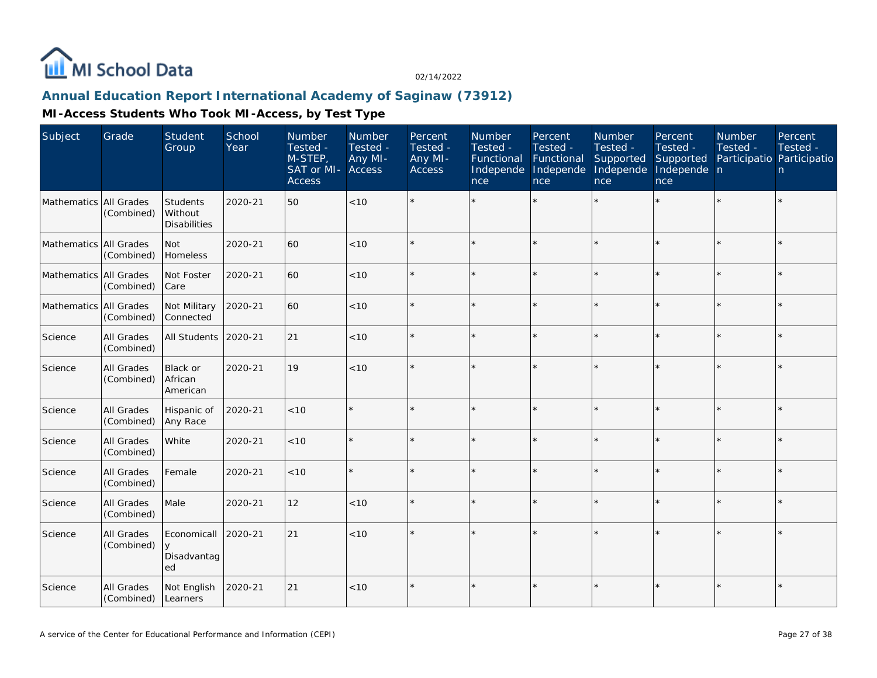

## **Annual Education Report International Academy of Saginaw (73912)**

| Subject                | Grade                    | Student<br>Group                           | School<br>Year | Number<br>Tested -<br>M-STEP,<br>SAT or MI-<br><b>Access</b> | Number<br>Tested -<br>Any MI-<br>Access | Percent<br>Tested -<br>Any MI-<br>Access | Number<br>Tested -<br>Functional<br>Independe<br>nce | Percent<br>Tested -<br>Functional<br>Independe<br>nce | <b>Number</b><br>Tested -<br>Supported<br>Independe<br>nce | Percent<br>Tested -<br>Supported<br>Independe n<br>nce | Number<br>Tested -<br>Participatio Participatio | Percent<br>Tested -<br>n |
|------------------------|--------------------------|--------------------------------------------|----------------|--------------------------------------------------------------|-----------------------------------------|------------------------------------------|------------------------------------------------------|-------------------------------------------------------|------------------------------------------------------------|--------------------------------------------------------|-------------------------------------------------|--------------------------|
| Mathematics All Grades | (Combined)               | Students<br>Without<br><b>Disabilities</b> | 2020-21        | 50                                                           | < 10                                    |                                          |                                                      |                                                       |                                                            |                                                        |                                                 | $\star$                  |
| Mathematics All Grades | (Combined)               | <b>Not</b><br>Homeless                     | 2020-21        | 60                                                           | < 10                                    |                                          |                                                      |                                                       |                                                            |                                                        |                                                 | ¥                        |
| Mathematics All Grades | (Combined)               | Not Foster<br><b>Care</b>                  | 2020-21        | 60                                                           | $<10$                                   |                                          |                                                      |                                                       |                                                            |                                                        |                                                 | $\star$                  |
| Mathematics All Grades | (Combined)               | Not Military<br>Connected                  | 2020-21        | 60                                                           | < 10                                    |                                          |                                                      | $\star$                                               |                                                            |                                                        |                                                 | $\star$                  |
| Science                | All Grades<br>(Combined) | All Students                               | 2020-21        | 21                                                           | $<10$                                   |                                          |                                                      |                                                       |                                                            |                                                        |                                                 | $\star$                  |
| Science                | All Grades<br>(Combined) | Black or<br>African<br>American            | 2020-21        | 19                                                           | < 10                                    |                                          |                                                      |                                                       |                                                            |                                                        |                                                 |                          |
| Science                | All Grades<br>(Combined) | Hispanic of<br>Any Race                    | 2020-21        | $<10$                                                        |                                         |                                          |                                                      |                                                       |                                                            |                                                        |                                                 | $\star$                  |
| Science                | All Grades<br>(Combined) | White                                      | 2020-21        | < 10                                                         |                                         |                                          |                                                      | ÷                                                     |                                                            |                                                        |                                                 | $\star$                  |
| Science                | All Grades<br>(Combined) | Female                                     | 2020-21        | < 10                                                         | $\star$                                 |                                          |                                                      |                                                       |                                                            |                                                        | $\star$                                         | $\star$                  |
| Science                | All Grades<br>(Combined) | Male                                       | 2020-21        | 12                                                           | < 10                                    |                                          |                                                      |                                                       |                                                            |                                                        |                                                 | $\star$                  |
| Science                | All Grades<br>(Combined) | Economicall<br>Disadvantag<br>ed           | 2020-21        | 21                                                           | < 10                                    |                                          |                                                      |                                                       |                                                            |                                                        |                                                 | $\star$                  |
| Science                | All Grades<br>(Combined) | Not English<br>Learners                    | 2020-21        | 21                                                           | < 10                                    |                                          | $\star$                                              |                                                       |                                                            |                                                        | $\star$                                         | $\star$                  |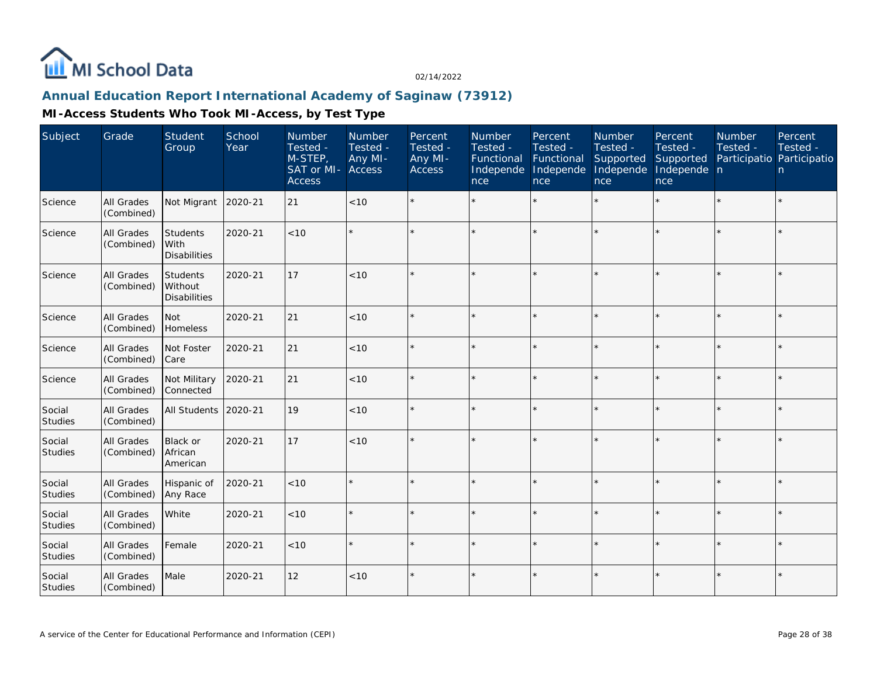

### **Annual Education Report International Academy of Saginaw (73912)**

| Subject                  | Grade                    | <b>Student</b><br>Group                    | School<br>Year | <b>Number</b><br>Tested -<br>M-STEP,<br>SAT or MI-<br><b>Access</b> | Number<br>Tested -<br>Any MI-<br><b>Access</b> | Percent<br>Tested -<br>Any MI-<br><b>Access</b> | <b>Number</b><br>Tested -<br>Functional<br>Independe<br>nce | Percent<br>Tested -<br>Functional<br>Independe<br>nce | Number<br>Tested -<br>Supported<br>Independe<br>nce | Percent<br>Tested -<br>Supported<br>Independe n<br>nce | <b>Number</b><br>Tested -<br>Participatio Participatio | Percent<br>Tested -<br>n. |
|--------------------------|--------------------------|--------------------------------------------|----------------|---------------------------------------------------------------------|------------------------------------------------|-------------------------------------------------|-------------------------------------------------------------|-------------------------------------------------------|-----------------------------------------------------|--------------------------------------------------------|--------------------------------------------------------|---------------------------|
| Science                  | All Grades<br>(Combined) | Not Migrant                                | 2020-21        | 21                                                                  | < 10                                           |                                                 |                                                             |                                                       |                                                     |                                                        |                                                        | $\star$                   |
| Science                  | All Grades<br>(Combined) | Students<br>With<br><b>Disabilities</b>    | 2020-21        | < 10                                                                |                                                |                                                 |                                                             |                                                       |                                                     |                                                        |                                                        | $\star$                   |
| Science                  | All Grades<br>(Combined) | Students<br>Without<br><b>Disabilities</b> | 2020-21        | 17                                                                  | < 10                                           |                                                 |                                                             |                                                       |                                                     |                                                        |                                                        | $\star$                   |
| Science                  | All Grades<br>(Combined) | Not<br>Homeless                            | 2020-21        | 21                                                                  | $<10$                                          |                                                 |                                                             |                                                       |                                                     |                                                        |                                                        | $\star$                   |
| Science                  | All Grades<br>(Combined) | Not Foster<br>Care                         | 2020-21        | 21                                                                  | < 10                                           |                                                 |                                                             |                                                       |                                                     |                                                        |                                                        | $\star$                   |
| Science                  | All Grades<br>(Combined) | Not Military<br>Connected                  | 2020-21        | 21                                                                  | < 10                                           |                                                 |                                                             |                                                       |                                                     |                                                        |                                                        | $\star$                   |
| Social<br>Studies        | All Grades<br>(Combined) | All Students                               | 2020-21        | 19                                                                  | < 10                                           |                                                 |                                                             |                                                       |                                                     |                                                        |                                                        | $\star$                   |
| Social<br><b>Studies</b> | All Grades<br>(Combined) | Black or<br>African<br>American            | 2020-21        | 17                                                                  | < 10                                           |                                                 |                                                             |                                                       |                                                     |                                                        |                                                        | $\star$                   |
| Social<br><b>Studies</b> | All Grades<br>(Combined) | Hispanic of<br>Any Race                    | 2020-21        | < 10                                                                |                                                |                                                 |                                                             |                                                       | $\star$                                             | ×.                                                     |                                                        | $\star$                   |
| Social<br>Studies        | All Grades<br>(Combined) | White                                      | 2020-21        | < 10                                                                |                                                |                                                 |                                                             |                                                       |                                                     |                                                        |                                                        | ÷.                        |
| Social<br>Studies        | All Grades<br>(Combined) | Female                                     | 2020-21        | < 10                                                                |                                                |                                                 |                                                             |                                                       |                                                     |                                                        |                                                        | $\star$                   |
| Social<br>Studies        | All Grades<br>(Combined) | Male                                       | 2020-21        | 12                                                                  | $<10$                                          |                                                 |                                                             |                                                       |                                                     |                                                        |                                                        | $\star$                   |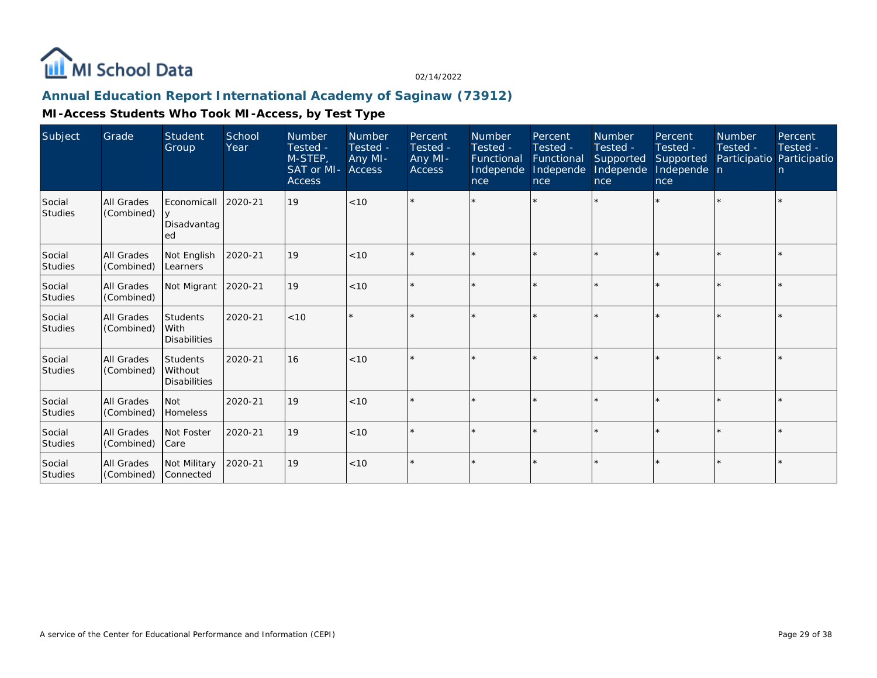

## **Annual Education Report International Academy of Saginaw (73912)**

| Subject                  | Grade                    | Student<br>Group                                  | School<br>Year | <b>Number</b><br>Tested -<br>M-STEP,<br>SAT or MI-<br><b>Access</b> | <b>Number</b><br>Tested -<br>Any MI-<br>Access | Percent<br>Tested -<br>Any MI-<br><b>Access</b> | <b>Number</b><br>Tested -<br>Functional<br>Independe<br>nce | Percent<br>Tested -<br>Functional<br>Independe<br>nce | <b>Number</b><br>Tested -<br>Supported<br>Independe<br>nce | Percent<br>Tested -<br>Supported<br>Independe n<br>nce | <b>Number</b><br>Tested - | Percent<br>Tested -<br>Participatio Participatio<br>n |
|--------------------------|--------------------------|---------------------------------------------------|----------------|---------------------------------------------------------------------|------------------------------------------------|-------------------------------------------------|-------------------------------------------------------------|-------------------------------------------------------|------------------------------------------------------------|--------------------------------------------------------|---------------------------|-------------------------------------------------------|
| Social<br><b>Studies</b> | All Grades<br>(Combined) | Economicall<br>Disadvantag<br>ed                  | 2020-21        | 19                                                                  | < 10                                           |                                                 |                                                             |                                                       |                                                            | $\star$                                                |                           |                                                       |
| Social<br><b>Studies</b> | All Grades<br>(Combined) | Not English<br>Learners                           | 2020-21        | 19                                                                  | < 10                                           |                                                 |                                                             | $\star$                                               |                                                            | $\star$                                                |                           |                                                       |
| Social<br>Studies        | All Grades<br>(Combined) | Not Migrant                                       | 2020-21        | 19                                                                  | < 10                                           |                                                 |                                                             | $\star$                                               |                                                            | $\star$                                                |                           |                                                       |
| Social<br><b>Studies</b> | All Grades<br>(Combined) | Students<br>With<br><b>Disabilities</b>           | 2020-21        | < 10                                                                | $\star$                                        |                                                 |                                                             |                                                       |                                                            |                                                        |                           |                                                       |
| Social<br>Studies        | All Grades<br>(Combined) | <b>Students</b><br>Without<br><b>Disabilities</b> | 2020-21        | 16                                                                  | < 10                                           |                                                 |                                                             | $\star$                                               |                                                            | $\star$                                                |                           |                                                       |
| Social<br>Studies        | All Grades<br>(Combined) | l Not<br>Homeless                                 | 2020-21        | 19                                                                  | < 10                                           |                                                 |                                                             | $\star$                                               |                                                            | $\star$                                                |                           |                                                       |
| Social<br><b>Studies</b> | All Grades<br>(Combined) | Not Foster<br> Care                               | 2020-21        | 19                                                                  | < 10                                           |                                                 |                                                             | $\star$                                               |                                                            | $\star$                                                |                           |                                                       |
| Social<br>Studies        | All Grades<br>(Combined) | Not Military<br>Connected                         | 2020-21        | 19                                                                  | < 10                                           |                                                 |                                                             | $\star$                                               |                                                            | $\star$                                                |                           |                                                       |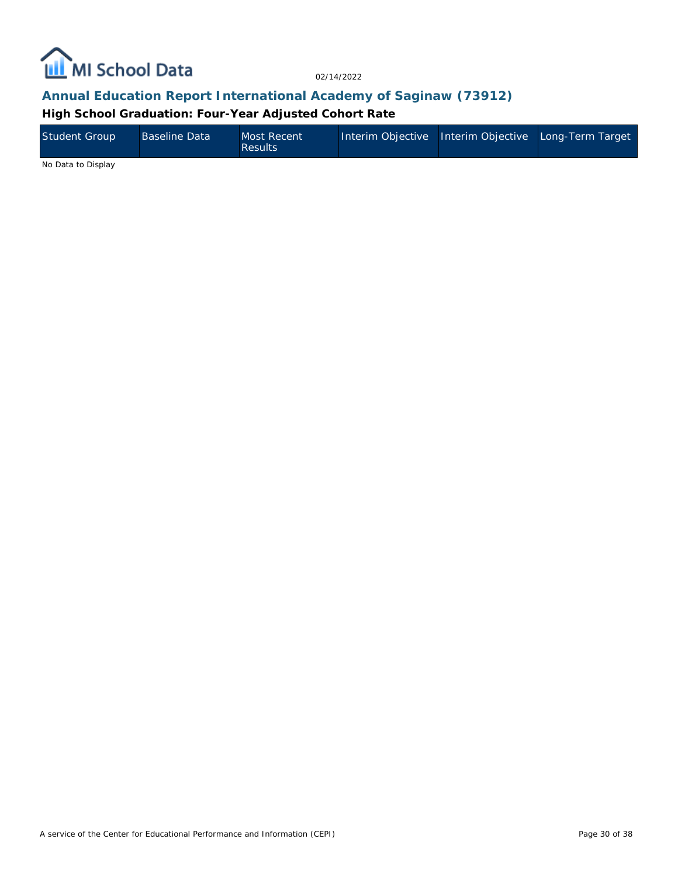

## **Annual Education Report International Academy of Saginaw (73912)**

**High School Graduation: Four-Year Adjusted Cohort Rate**

| <b>Student Group</b> | <b>Baseline Data</b> | Most Recent<br><b>Results</b> | Interim Objective Interim Objective Long-Term Target |  |
|----------------------|----------------------|-------------------------------|------------------------------------------------------|--|
| $\cdots$ $\cdots$    |                      |                               |                                                      |  |

No Data to Display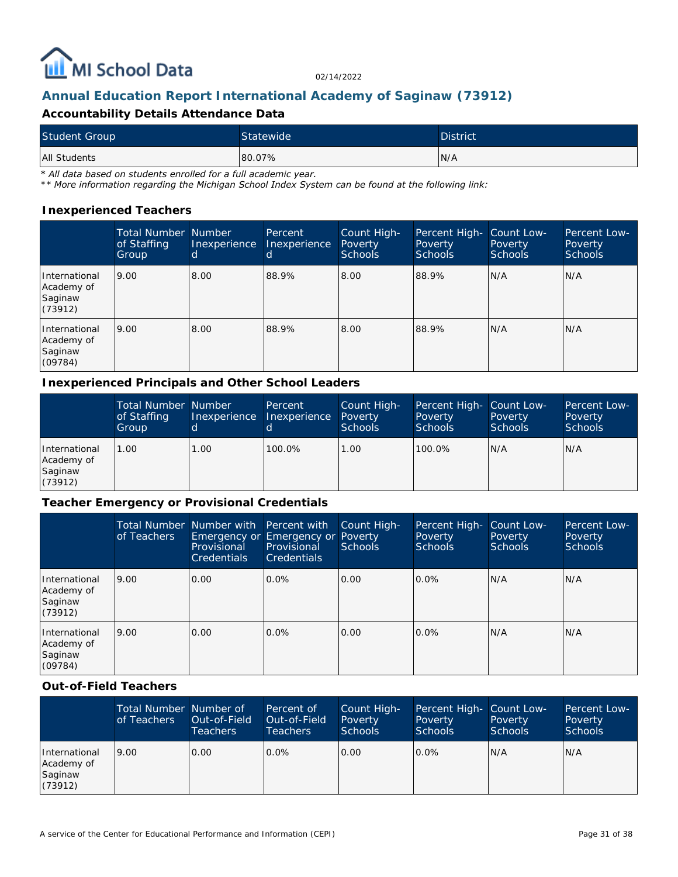

## **Annual Education Report International Academy of Saginaw (73912)**

#### **Accountability Details Attendance Data**

| <b>Student Group</b> | Statewide | District <sup>'</sup> |
|----------------------|-----------|-----------------------|
| All Students         | 80.07%    | N/A                   |

*\* All data based on students enrolled for a full academic year.*

*\*\* More information regarding the Michigan School Index System can be found at the following link:*

#### **Inexperienced Teachers**

|                                                   | <b>Total Number Number</b><br>of Staffing<br>Group | Inexperience<br>d | Percent<br>Inexperience | Count High-<br>Poverty<br>Schools | Percent High-<br>Poverty<br>Schools | Count Low-<br>Poverty<br>Schools | Percent Low-<br>Poverty<br><b>Schools</b> |
|---------------------------------------------------|----------------------------------------------------|-------------------|-------------------------|-----------------------------------|-------------------------------------|----------------------------------|-------------------------------------------|
| International<br>Academy of<br>Saginaw<br>(73912) | 9.00                                               | 8.00              | 88.9%                   | 8.00                              | 88.9%                               | N/A                              | IN/A                                      |
| International<br>Academy of<br>Saginaw<br>(09784) | 9.00                                               | 8.00              | 88.9%                   | 8.00                              | 88.9%                               | N/A                              | IN/A                                      |

#### **Inexperienced Principals and Other School Leaders**

|                                                   | <b>Total Number Number</b><br>of Staffing<br>Group | Inexperience | Percent<br>Inexperience | Count High-<br>Poverty<br><b>Schools</b> | Percent High- Count Low-<br>Poverty<br><b>Schools</b> | Poverty<br><b>Schools</b> | Percent Low-<br>Poverty<br><b>Schools</b> |
|---------------------------------------------------|----------------------------------------------------|--------------|-------------------------|------------------------------------------|-------------------------------------------------------|---------------------------|-------------------------------------------|
| International<br>Academy of<br>Saginaw<br>(73912) | 1.00                                               | 1.00         | 100.0%                  | 1.00                                     | 100.0%                                                | N/A                       | N/A                                       |

#### **Teacher Emergency or Provisional Credentials**

|                                                   | of Teachers | Total Number Number with Percent with<br>Provisional<br><b>Credentials</b> | Emergency or Emergency or Poverty<br>Provisional<br><b>Credentials</b> | Count High-<br><b>Schools</b> | Percent High-<br>Poverty<br><b>Schools</b> | Count Low-<br>Poverty<br><b>Schools</b> | Percent Low-<br>Poverty<br><b>Schools</b> |
|---------------------------------------------------|-------------|----------------------------------------------------------------------------|------------------------------------------------------------------------|-------------------------------|--------------------------------------------|-----------------------------------------|-------------------------------------------|
| International<br>Academy of<br>Saginaw<br>(73912) | 9.00        | 0.00                                                                       | $0.0\%$                                                                | 0.00                          | $0.0\%$                                    | N/A                                     | N/A                                       |
| International<br>Academy of<br>Saginaw<br>(09784) | 9.00        | 0.00                                                                       | $0.0\%$                                                                | 0.00                          | $0.0\%$                                    | N/A                                     | IN/A                                      |

#### **Out-of-Field Teachers**

|                                                   | Total Number Number of<br>of Teachers | Out-of-Field<br>Teachers ' | Percent of<br>Out-of-Field<br>Teachers. | Count High-<br>Poverty<br><b>Schools</b> | Percent High- Count Low-<br>Poverty<br><b>Schools</b> | Poverty<br><b>Schools</b> | Percent Low-<br>Poverty<br><b>Schools</b> |
|---------------------------------------------------|---------------------------------------|----------------------------|-----------------------------------------|------------------------------------------|-------------------------------------------------------|---------------------------|-------------------------------------------|
| International<br>Academy of<br>Saginaw<br>(73912) | 9.00                                  | 0.00                       | $0.0\%$                                 | 0.00                                     | $0.0\%$                                               | N/A                       | N/A                                       |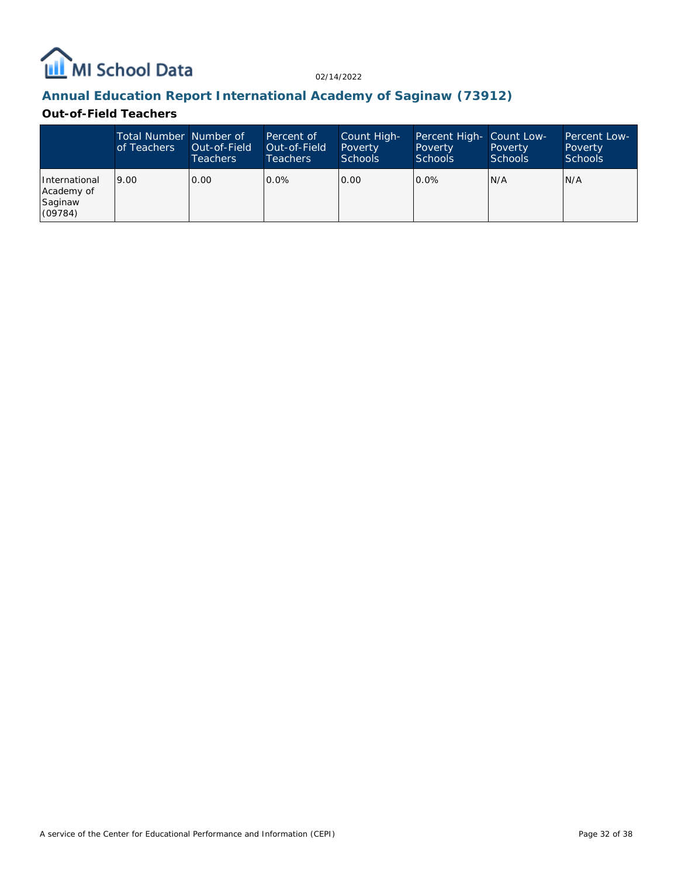

## **Annual Education Report International Academy of Saginaw (73912)**

#### **Out-of-Field Teachers**

|                                                   | Total Number Number of<br>of Teachers | Out-of-Field<br><b>Teachers</b> | Percent of<br>Out-of-Field<br>Teachers | Count High-<br>Poverty<br>Schools | Percent High- Count Low-<br>Poverty<br><b>Schools</b> | Poverty<br><b>Schools</b> | Percent Low-<br>Poverty<br><b>Schools</b> |
|---------------------------------------------------|---------------------------------------|---------------------------------|----------------------------------------|-----------------------------------|-------------------------------------------------------|---------------------------|-------------------------------------------|
| International<br>Academy of<br>Saginaw<br>(09784) | 9.00                                  | 0.00                            | $0.0\%$                                | 0.00                              | $0.0\%$                                               | N/A                       | N/A                                       |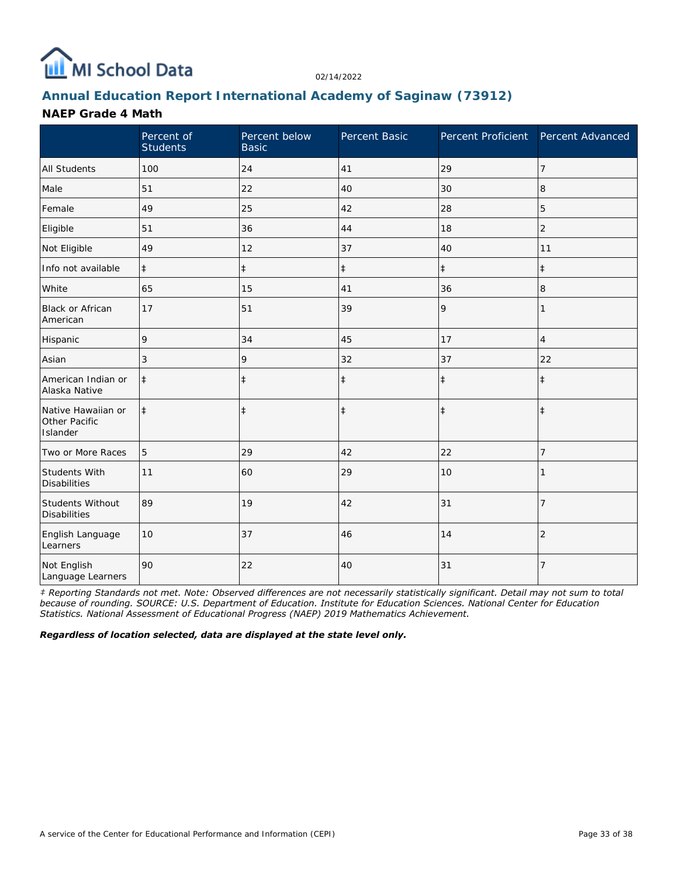

## **Annual Education Report International Academy of Saginaw (73912)**

#### **NAEP Grade 4 Math**

|                                                 | Percent of<br><b>Students</b> | Percent below<br><b>Basic</b> | Percent Basic | Percent Proficient | Percent Advanced |
|-------------------------------------------------|-------------------------------|-------------------------------|---------------|--------------------|------------------|
| <b>All Students</b>                             | 100                           | 24                            | 41            | 29                 | 7                |
| Male                                            | 51                            | 22                            | 40            | 30                 | 8                |
| Female                                          | 49                            | 25                            | 42            | 28                 | 5                |
| Eligible                                        | 51                            | 36                            | 44            | 18                 | $\overline{2}$   |
| Not Eligible                                    | 49                            | 12                            | 37            | 40                 | 11               |
| Info not available                              | $\ddagger$                    | $\ddagger$                    | $\ddagger$    | $\ddagger$         | $\ddagger$       |
| White                                           | 65                            | 15                            | 41            | 36                 | 8                |
| Black or African<br>American                    | 17                            | 51                            | 39            | 9                  | 1                |
| Hispanic                                        | 9                             | 34                            | 45            | 17                 | $\overline{4}$   |
| Asian                                           | 3                             | 9                             | 32            | 37                 | 22               |
| American Indian or<br>Alaska Native             | $\ddagger$                    | $\ddagger$                    | $\ddagger$    | $\ddagger$         | $\ddagger$       |
| Native Hawaiian or<br>Other Pacific<br>Islander | $\ddagger$                    | $\ddagger$                    | $\ddagger$    | $\ddagger$         | $\ddagger$       |
| Two or More Races                               | 5                             | 29                            | 42            | 22                 | 7                |
| Students With<br><b>Disabilities</b>            | 11                            | 60                            | 29            | 10                 |                  |
| <b>Students Without</b><br><b>Disabilities</b>  | 89                            | 19                            | 42            | 31                 | $\overline{7}$   |
| English Language<br>Learners                    | 10                            | 37                            | 46            | 14                 | $\overline{2}$   |
| Not English<br>Language Learners                | 90                            | 22                            | 40            | 31                 | 7                |

*‡ Reporting Standards not met. Note: Observed differences are not necessarily statistically significant. Detail may not sum to total because of rounding. SOURCE: U.S. Department of Education. Institute for Education Sciences. National Center for Education Statistics. National Assessment of Educational Progress (NAEP) 2019 Mathematics Achievement.*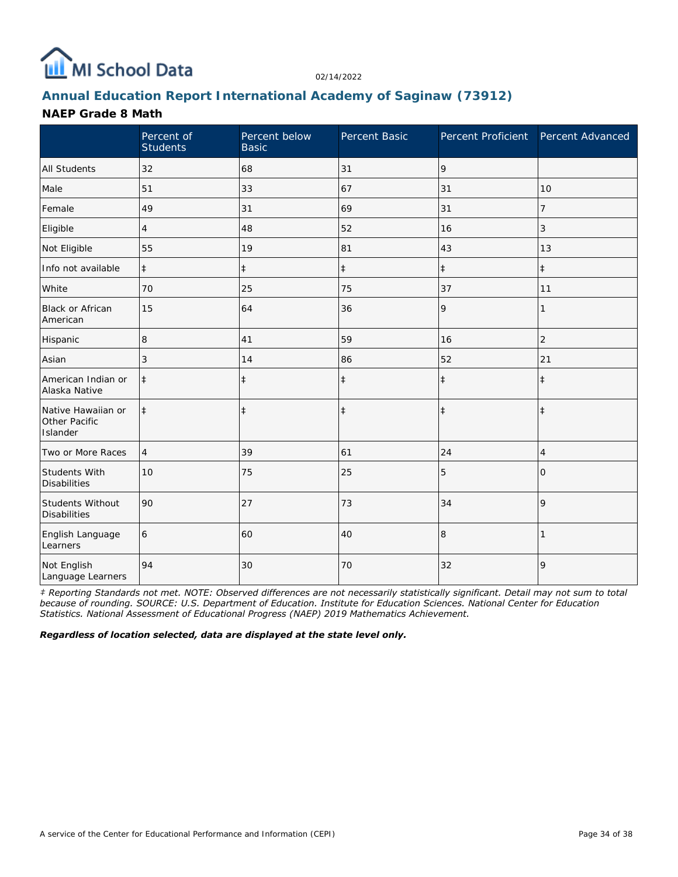

## **Annual Education Report International Academy of Saginaw (73912)**

#### **NAEP Grade 8 Math**

|                                                 | Percent of<br><b>Students</b> | Percent below<br><b>Basic</b> | Percent Basic | Percent Proficient | Percent Advanced |
|-------------------------------------------------|-------------------------------|-------------------------------|---------------|--------------------|------------------|
| <b>All Students</b>                             | 32                            | 68                            | 31            | 9                  |                  |
| Male                                            | 51                            | 33                            | 67            | 31                 | 10               |
| Female                                          | 49                            | 31                            | 69            | 31                 | 7                |
| Eligible                                        | 4                             | 48                            | 52            | 16                 | 3                |
| Not Eligible                                    | 55                            | 19                            | 81            | 43                 | 13               |
| Info not available                              | $\ddagger$                    | $\ddagger$                    | $\ddagger$    | $\ddagger$         | $\ddagger$       |
| White                                           | 70                            | 25                            | 75            | 37                 | 11               |
| <b>Black or African</b><br>American             | 15                            | 64                            | 36            | 9                  | 1                |
| Hispanic                                        | 8                             | 41                            | 59            | 16                 | $\overline{2}$   |
| Asian                                           | 3                             | 14                            | 86            | 52                 | 21               |
| American Indian or<br>Alaska Native             | $\ddagger$                    | $\ddagger$                    | $\ddagger$    | $\ddagger$         | $\ddagger$       |
| Native Hawaiian or<br>Other Pacific<br>Islander | $\ddagger$                    | $\ddagger$                    | $\ddagger$    | $\ddagger$         | $\ddagger$       |
| Two or More Races                               | $\overline{4}$                | 39                            | 61            | 24                 | $\overline{4}$   |
| Students With<br><b>Disabilities</b>            | 10                            | 75                            | 25            | 5                  | 0                |
| Students Without<br><b>Disabilities</b>         | 90                            | 27                            | 73            | 34                 | 9                |
| English Language<br>Learners                    | 6                             | 60                            | 40            | 8                  | 1                |
| Not English<br>Language Learners                | 94                            | 30                            | 70            | 32                 | 9                |

*‡ Reporting Standards not met. NOTE: Observed differences are not necessarily statistically significant. Detail may not sum to total because of rounding. SOURCE: U.S. Department of Education. Institute for Education Sciences. National Center for Education Statistics. National Assessment of Educational Progress (NAEP) 2019 Mathematics Achievement.*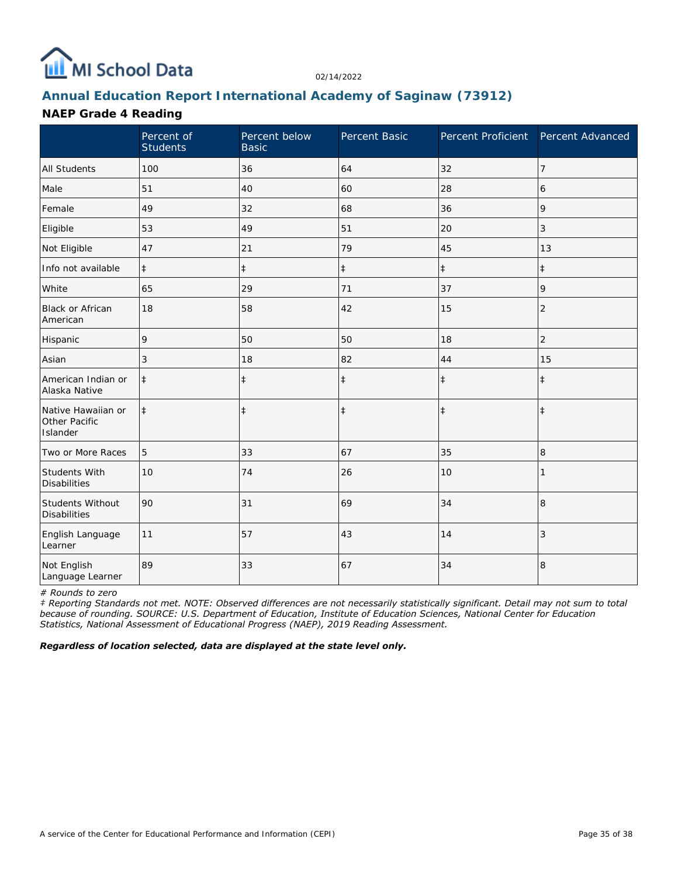

## **Annual Education Report International Academy of Saginaw (73912)**

### **NAEP Grade 4 Reading**

|                                                 | Percent of<br><b>Students</b> | Percent below<br><b>Basic</b> | Percent Basic | Percent Proficient | Percent Advanced |
|-------------------------------------------------|-------------------------------|-------------------------------|---------------|--------------------|------------------|
| <b>All Students</b>                             | 100                           | 36                            | 64            | 32                 | 7                |
| Male                                            | 51                            | 40                            | 60            | 28                 | 6                |
| Female                                          | 49                            | 32                            | 68            | 36                 | 9                |
| Eligible                                        | 53                            | 49                            | 51            | 20                 | 3                |
| Not Eligible                                    | 47                            | 21                            | 79            | 45                 | 13               |
| Info not available                              | $\ddagger$                    | $\ddagger$                    | $\ddagger$    | $\ddagger$         | $\ddagger$       |
| White                                           | 65                            | 29                            | 71            | 37                 | 9                |
| Black or African<br>American                    | 18                            | 58                            | 42            | 15                 | $\overline{2}$   |
| Hispanic                                        | 9                             | 50                            | 50            | 18                 | $\overline{c}$   |
| Asian                                           | 3                             | 18                            | 82            | 44                 | 15               |
| American Indian or<br>Alaska Native             | $\ddagger$                    | $\ddagger$                    | $\ddagger$    | $\ddagger$         | $\ddagger$       |
| Native Hawaiian or<br>Other Pacific<br>Islander | $\ddagger$                    | $\ddagger$                    | $\ddagger$    | $\ddagger$         | $\ddagger$       |
| Two or More Races                               | 5                             | 33                            | 67            | 35                 | 8                |
| <b>Students With</b><br><b>Disabilities</b>     | 10                            | 74                            | 26            | 10                 |                  |
| Students Without<br><b>Disabilities</b>         | 90                            | 31                            | 69            | 34                 | 8                |
| English Language<br>Learner                     | 11                            | 57                            | 43            | 14                 | 3                |
| Not English<br>Language Learner                 | 89                            | 33                            | 67            | 34                 | 8                |

*# Rounds to zero*

*‡ Reporting Standards not met. NOTE: Observed differences are not necessarily statistically significant. Detail may not sum to total because of rounding. SOURCE: U.S. Department of Education, Institute of Education Sciences, National Center for Education Statistics, National Assessment of Educational Progress (NAEP), 2019 Reading Assessment.*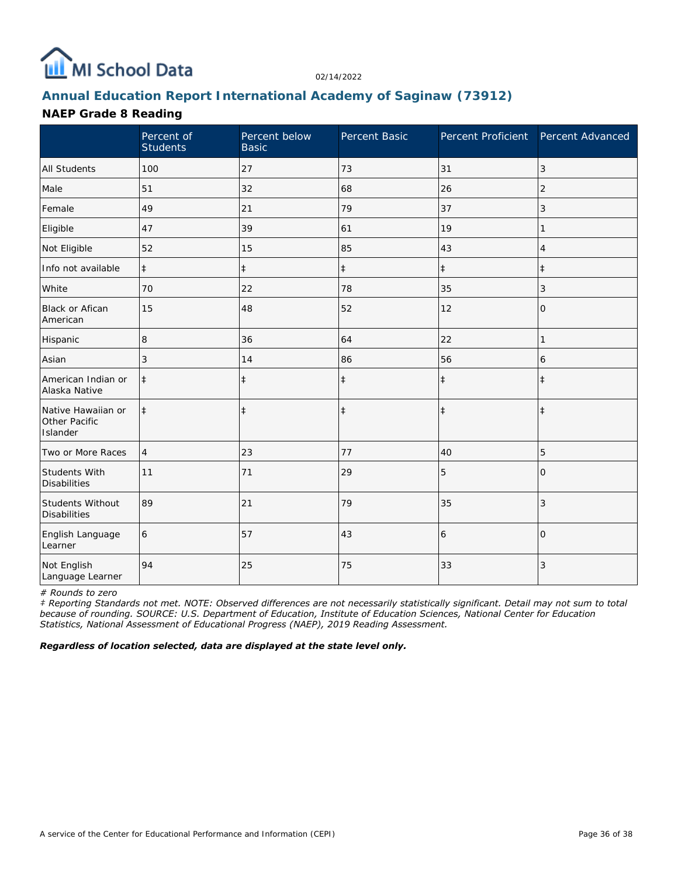

## **Annual Education Report International Academy of Saginaw (73912)**

### **NAEP Grade 8 Reading**

|                                                 | Percent of<br><b>Students</b> | Percent below<br><b>Basic</b> | Percent Basic | Percent Proficient | Percent Advanced |
|-------------------------------------------------|-------------------------------|-------------------------------|---------------|--------------------|------------------|
| <b>All Students</b>                             | 100                           | 27                            | 73            | 31                 | 3                |
| Male                                            | 51                            | 32                            | 68            | 26                 | $\overline{2}$   |
| Female                                          | 49                            | 21                            | 79            | 37                 | 3                |
| Eligible                                        | 47                            | 39                            | 61            | 19                 |                  |
| Not Eligible                                    | 52                            | 15                            | 85            | 43                 | $\overline{4}$   |
| Info not available                              | $\ddagger$                    | $\ddagger$                    | $\ddagger$    | $\ddagger$         | $\ddagger$       |
| White                                           | 70                            | 22                            | 78            | 35                 | 3                |
| Black or Afican<br>American                     | 15                            | 48                            | 52            | 12                 | 0                |
| Hispanic                                        | 8                             | 36                            | 64            | 22                 | 1                |
| Asian                                           | 3                             | 14                            | 86            | 56                 | 6                |
| American Indian or<br>Alaska Native             | $\ddagger$                    | $\ddagger$                    | $\ddagger$    | $\ddagger$         | $\ddagger$       |
| Native Hawaiian or<br>Other Pacific<br>Islander | $\ddagger$                    | $\ddagger$                    | $\ddagger$    | $\ddagger$         | $\ddagger$       |
| Two or More Races                               | $\overline{4}$                | 23                            | 77            | 40                 | 5                |
| <b>Students With</b><br><b>Disabilities</b>     | 11                            | 71                            | 29            | 5                  | $\Omega$         |
| Students Without<br><b>Disabilities</b>         | 89                            | 21                            | 79            | 35                 | 3                |
| English Language<br>Learner                     | 6                             | 57                            | 43            | 6                  | $\Omega$         |
| Not English<br>Language Learner                 | 94                            | 25                            | 75            | 33                 | 3                |

*# Rounds to zero*

*‡ Reporting Standards not met. NOTE: Observed differences are not necessarily statistically significant. Detail may not sum to total because of rounding. SOURCE: U.S. Department of Education, Institute of Education Sciences, National Center for Education Statistics, National Assessment of Educational Progress (NAEP), 2019 Reading Assessment.*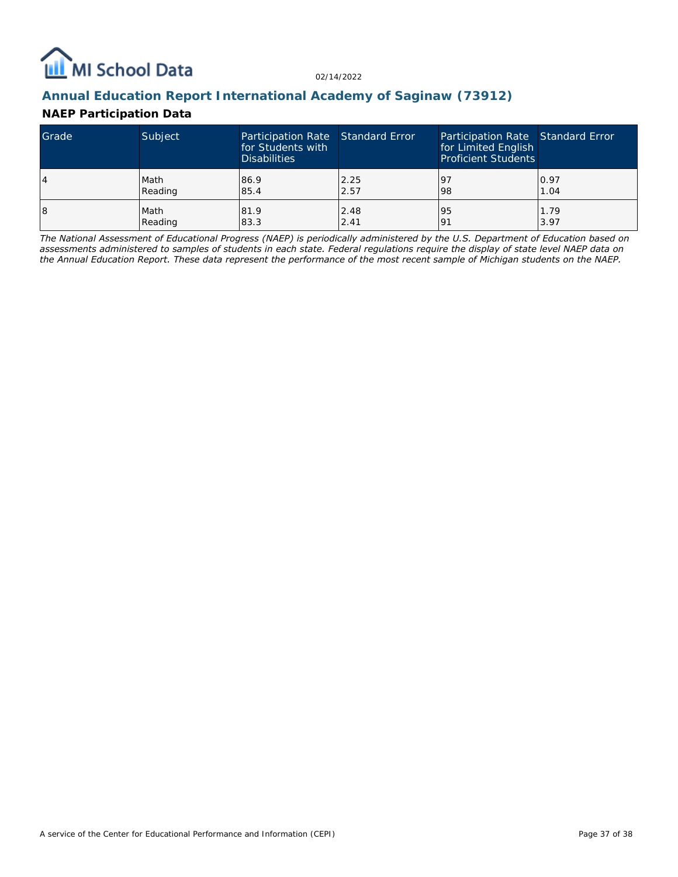

### **Annual Education Report International Academy of Saginaw (73912)**

## **NAEP Participation Data**

| Grade | Subject | Participation Rate Standard Error<br>for Students with<br><b>Disabilities</b> |      | Participation Rate Standard Error<br>for Limited English<br><b>Proficient Students</b> |      |
|-------|---------|-------------------------------------------------------------------------------|------|----------------------------------------------------------------------------------------|------|
| 14    | Math    | 86.9                                                                          | 2.25 | 197                                                                                    | 0.97 |
|       | Reading | 85.4                                                                          | 2.57 | 98                                                                                     | 1.04 |
| 18    | Math    | 81.9                                                                          | 2.48 | 95                                                                                     | 1.79 |
|       | Reading | 83.3                                                                          | 2.41 | <u>o</u>                                                                               | 3.97 |

*The National Assessment of Educational Progress (NAEP) is periodically administered by the U.S. Department of Education based on assessments administered to samples of students in each state. Federal regulations require the display of state level NAEP data on the Annual Education Report. These data represent the performance of the most recent sample of Michigan students on the NAEP.*